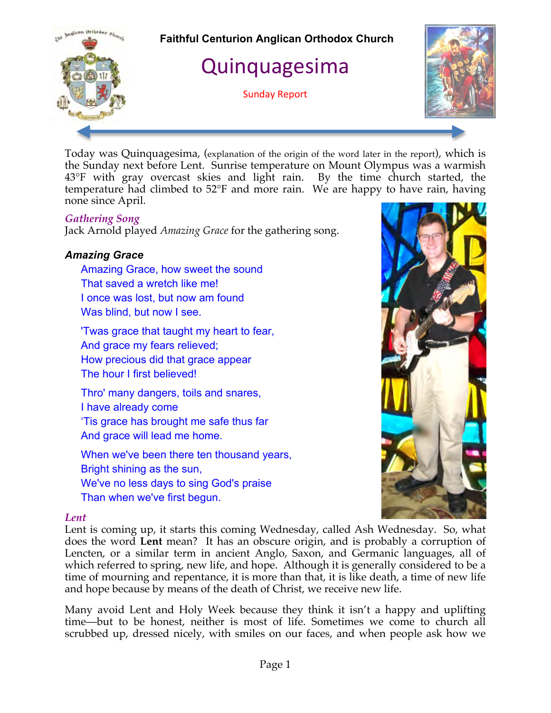

Today was Quinquagesima, (explanation of the origin of the word later in the report), which is the Sunday next before Lent. Sunrise temperature on Mount Olympus was a warmish 43°F with gray overcast skies and light rain. By the time church started, the temperature had climbed to 52°F and more rain. We are happy to have rain, having none since April.

## *Gathering Song*

Jack Arnold played *Amazing Grace* for the gathering song.

# *Amazing Grace*

Amazing Grace, how sweet the sound That saved a wretch like me! I once was lost, but now am found Was blind, but now I see.

'Twas grace that taught my heart to fear, And grace my fears relieved; How precious did that grace appear The hour I first believed!

Thro' many dangers, toils and snares, I have already come 'Tis grace has brought me safe thus far And grace will lead me home.

When we've been there ten thousand years, Bright shining as the sun, We've no less days to sing God's praise Than when we've first begun.

# *Lent*

Lent is coming up, it starts this coming Wednesday, called Ash Wednesday. So, what does the word **Lent** mean? It has an obscure origin, and is probably a corruption of Lencten, or a similar term in ancient Anglo, Saxon, and Germanic languages, all of which referred to spring, new life, and hope. Although it is generally considered to be a time of mourning and repentance, it is more than that, it is like death, a time of new life and hope because by means of the death of Christ, we receive new life.

Many avoid Lent and Holy Week because they think it isn't a happy and uplifting time—but to be honest, neither is most of life. Sometimes we come to church all scrubbed up, dressed nicely, with smiles on our faces, and when people ask how we

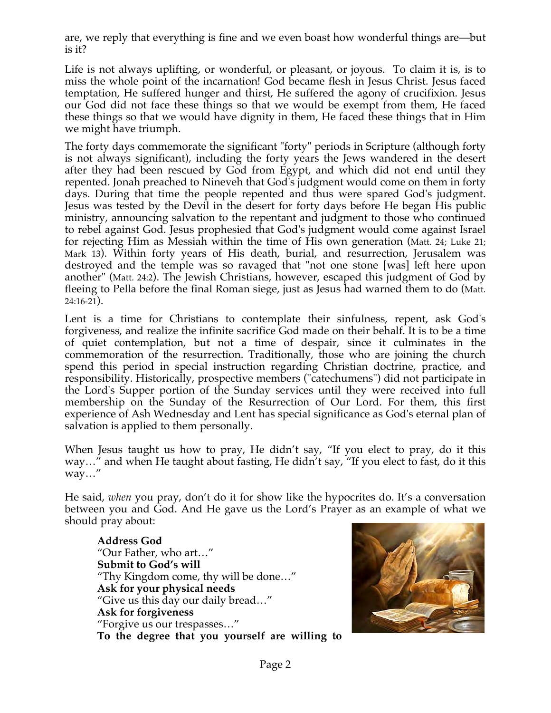are, we reply that everything is fine and we even boast how wonderful things are—but is it?

Life is not always uplifting, or wonderful, or pleasant, or joyous. To claim it is, is to miss the whole point of the incarnation! God became flesh in Jesus Christ. Jesus faced temptation, He suffered hunger and thirst, He suffered the agony of crucifixion. Jesus our God did not face these things so that we would be exempt from them, He faced these things so that we would have dignity in them, He faced these things that in Him we might have triumph.

The forty days commemorate the significant "forty" periods in Scripture (although forty is not always significant), including the forty years the Jews wandered in the desert after they had been rescued by God from Egypt, and which did not end until they repented. Jonah preached to Nineveh that God's judgment would come on them in forty days. During that time the people repented and thus were spared God's judgment. Jesus was tested by the Devil in the desert for forty days before He began His public ministry, announcing salvation to the repentant and judgment to those who continued to rebel against God. Jesus prophesied that God's judgment would come against Israel for rejecting Him as Messiah within the time of His own generation (Matt. 24; Luke 21; Mark 13). Within forty years of His death, burial, and resurrection, Jerusalem was destroyed and the temple was so ravaged that "not one stone [was] left here upon another" (Matt. 24:2). The Jewish Christians, however, escaped this judgment of God by fleeing to Pella before the final Roman siege, just as Jesus had warned them to do (Matt. 24:16-21).

Lent is a time for Christians to contemplate their sinfulness, repent, ask God's forgiveness, and realize the infinite sacrifice God made on their behalf. It is to be a time of quiet contemplation, but not a time of despair, since it culminates in the commemoration of the resurrection. Traditionally, those who are joining the church spend this period in special instruction regarding Christian doctrine, practice, and responsibility. Historically, prospective members ("catechumens") did not participate in the Lord's Supper portion of the Sunday services until they were received into full membership on the Sunday of the Resurrection of Our Lord. For them, this first experience of Ash Wednesday and Lent has special significance as God's eternal plan of salvation is applied to them personally.

When Jesus taught us how to pray, He didn't say, "If you elect to pray, do it this way…" and when He taught about fasting, He didn't say, "If you elect to fast, do it this way…"

He said, *when* you pray, don't do it for show like the hypocrites do. It's a conversation between you and God. And He gave us the Lord's Prayer as an example of what we should pray about:

**Address God** "Our Father, who art…" **Submit to God's will** "Thy Kingdom come, thy will be done…" **Ask for your physical needs** "Give us this day our daily bread…" **Ask for forgiveness** "Forgive us our trespasses…" **To the degree that you yourself are willing to** 

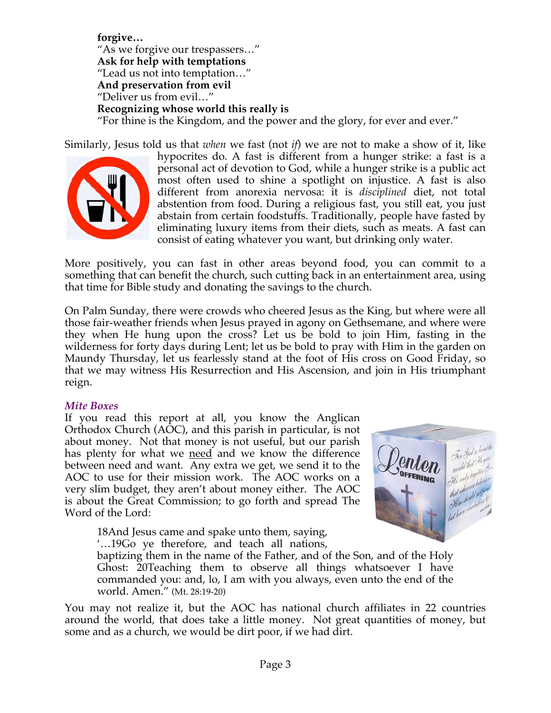**forgive…** "As we forgive our trespassers…" **Ask for help with temptations** "Lead us not into temptation…" **And preservation from evil** "Deliver us from evil…" **Recognizing whose world this really is** "For thine is the Kingdom, and the power and the glory, for ever and ever."

Similarly, Jesus told us that *when* we fast (not *if*) we are not to make a show of it, like



hypocrites do. A fast is different from a hunger strike: a fast is a personal act of devotion to God, while a hunger strike is a public act most often used to shine a spotlight on injustice. A fast is also different from anorexia nervosa: it is *disciplined* diet, not total abstention from food. During a religious fast, you still eat, you just abstain from certain foodstuffs. Traditionally, people have fasted by eliminating luxury items from their diets, such as meats. A fast can consist of eating whatever you want, but drinking only water.

More positively, you can fast in other areas beyond food, you can commit to a something that can benefit the church, such cutting back in an entertainment area, using that time for Bible study and donating the savings to the church.

On Palm Sunday, there were crowds who cheered Jesus as the King, but where were all those fair-weather friends when Jesus prayed in agony on Gethsemane, and where were they when He hung upon the cross? Let us be bold to join Him, fasting in the wilderness for forty days during Lent; let us be bold to pray with Him in the garden on Maundy Thursday, let us fearlessly stand at the foot of His cross on Good Friday, so that we may witness His Resurrection and His Ascension, and join in His triumphant reign.

## *Mite Boxes*

If you read this report at all, you know the Anglican Orthodox Church (AOC), and this parish in particular, is not about money. Not that money is not useful, but our parish has plenty for what we <u>need</u> and we know the difference between need and want. Any extra we get, we send it to the AOC to use for their mission work. The AOC works on a very slim budget, they aren't about money either. The AOC is about the Great Commission; to go forth and spread The Word of the Lord:



18And Jesus came and spake unto them, saying, '…19Go ye therefore, and teach all nations,

baptizing them in the name of the Father, and of the Son, and of the Holy Ghost: 20Teaching them to observe all things whatsoever I have commanded you: and, lo, I am with you always, even unto the end of the world. Amen." (Mt. 28:19-20)

You may not realize it, but the AOC has national church affiliates in 22 countries around the world, that does take a little money. Not great quantities of money, but some and as a church, we would be dirt poor, if we had dirt.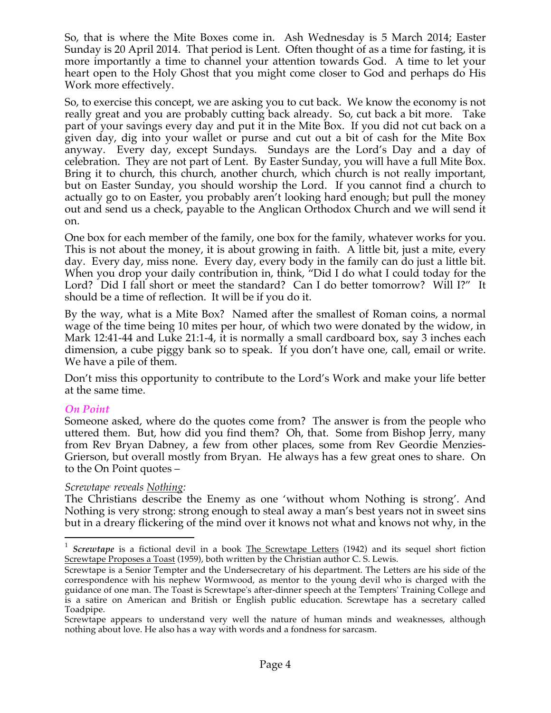So, that is where the Mite Boxes come in. Ash Wednesday is 5 March 2014; Easter Sunday is 20 April 2014. That period is Lent. Often thought of as a time for fasting, it is more importantly a time to channel your attention towards God. A time to let your heart open to the Holy Ghost that you might come closer to God and perhaps do His Work more effectively.

So, to exercise this concept, we are asking you to cut back. We know the economy is not really great and you are probably cutting back already. So, cut back a bit more. Take part of your savings every day and put it in the Mite Box. If you did not cut back on a given day, dig into your wallet or purse and cut out a bit of cash for the Mite Box anyway. Every day, except Sundays. Sundays are the Lord's Day and a day of celebration. They are not part of Lent. By Easter Sunday, you will have a full Mite Box. Bring it to church, this church, another church, which church is not really important, but on Easter Sunday, you should worship the Lord. If you cannot find a church to actually go to on Easter, you probably aren't looking hard enough; but pull the money out and send us a check, payable to the Anglican Orthodox Church and we will send it on.

One box for each member of the family, one box for the family, whatever works for you. This is not about the money, it is about growing in faith. A little bit, just a mite, every day. Every day, miss none. Every day, every body in the family can do just a little bit. When you drop your daily contribution in, think, "Did I do what I could today for the Lord? Did I fall short or meet the standard? Can I do better tomorrow? Will I?" It should be a time of reflection. It will be if you do it.

By the way, what is a Mite Box? Named after the smallest of Roman coins, a normal wage of the time being 10 mites per hour, of which two were donated by the widow, in Mark 12:41-44 and Luke 21:1-4, it is normally a small cardboard box, say 3 inches each dimension, a cube piggy bank so to speak. If you don't have one, call, email or write. We have a pile of them.

Don't miss this opportunity to contribute to the Lord's Work and make your life better at the same time.

## *On Point*

Someone asked, where do the quotes come from? The answer is from the people who uttered them. But, how did you find them? Oh, that. Some from Bishop Jerry, many from Rev Bryan Dabney, a few from other places, some from Rev Geordie Menzies-Grierson, but overall mostly from Bryan. He always has a few great ones to share. On to the On Point quotes –

## *Screwtape1 reveals Nothing:*

The Christians describe the Enemy as one 'without whom Nothing is strong'. And Nothing is very strong: strong enough to steal away a man's best years not in sweet sins but in a dreary flickering of the mind over it knows not what and knows not why, in the

<sup>&</sup>lt;sup>1</sup> *Screwtape* is a fictional devil in a book *The Screwtape Letters* (1942) and its sequel short fiction Screwtape Proposes a Toast (1959), both written by the Christian author C. S. Lewis.

Screwtape is a Senior Tempter and the Undersecretary of his department. The Letters are his side of the correspondence with his nephew Wormwood, as mentor to the young devil who is charged with the guidance of one man. The Toast is Screwtape's after-dinner speech at the Tempters' Training College and is a satire on American and British or English public education. Screwtape has a secretary called Toadpipe.

Screwtape appears to understand very well the nature of human minds and weaknesses, although nothing about love. He also has a way with words and a fondness for sarcasm.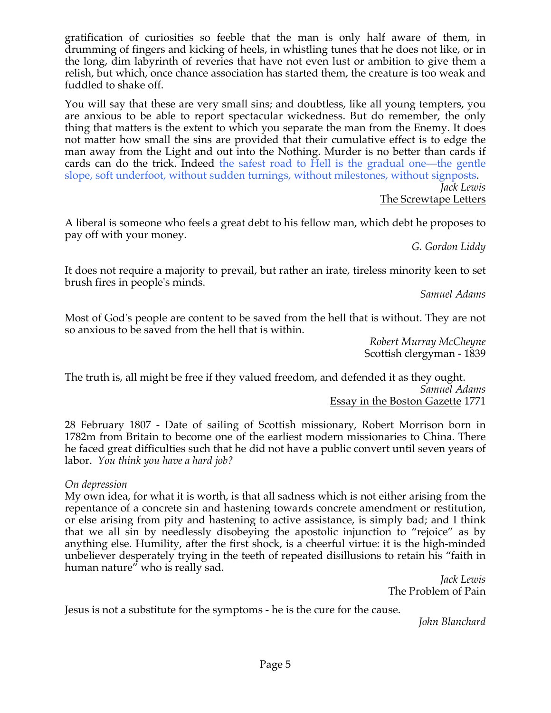gratification of curiosities so feeble that the man is only half aware of them, in drumming of fingers and kicking of heels, in whistling tunes that he does not like, or in the long, dim labyrinth of reveries that have not even lust or ambition to give them a relish, but which, once chance association has started them, the creature is too weak and fuddled to shake off.

You will say that these are very small sins; and doubtless, like all young tempters, you are anxious to be able to report spectacular wickedness. But do remember, the only thing that matters is the extent to which you separate the man from the Enemy. It does not matter how small the sins are provided that their cumulative effect is to edge the man away from the Light and out into the Nothing. Murder is no better than cards if cards can do the trick. Indeed the safest road to Hell is the gradual one—the gentle slope, soft underfoot, without sudden turnings, without milestones, without signposts.

> *Jack Lewis* The Screwtape Letters

A liberal is someone who feels a great debt to his fellow man, which debt he proposes to pay off with your money.

*G. Gordon Liddy*

It does not require a majority to prevail, but rather an irate, tireless minority keen to set brush fires in people's minds.

*Samuel Adams*

Most of God's people are content to be saved from the hell that is without. They are not so anxious to be saved from the hell that is within.

*Robert Murray McCheyne* Scottish clergyman - 1839

The truth is, all might be free if they valued freedom, and defended it as they ought. *Samuel Adams* Essay in the Boston Gazette 1771

28 February 1807 - Date of sailing of Scottish missionary, Robert Morrison born in 1782m from Britain to become one of the earliest modern missionaries to China. There he faced great difficulties such that he did not have a public convert until seven years of labor. *You think you have a hard job?*

## *On depression*

My own idea, for what it is worth, is that all sadness which is not either arising from the repentance of a concrete sin and hastening towards concrete amendment or restitution, or else arising from pity and hastening to active assistance, is simply bad; and I think that we all sin by needlessly disobeying the apostolic injunction to "rejoice" as by anything else. Humility, after the first shock, is a cheerful virtue: it is the high-minded unbeliever desperately trying in the teeth of repeated disillusions to retain his "faith in human nature" who is really sad.

*Jack Lewis* The Problem of Pain

Jesus is not a substitute for the symptoms - he is the cure for the cause.

*John Blanchard*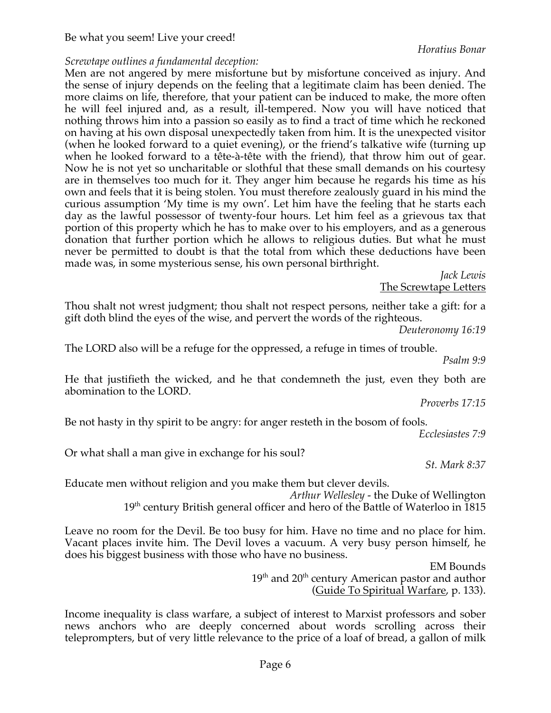#### Be what you seem! Live your creed!

*Horatius Bonar*

#### *Screwtape outlines a fundamental deception:*

Men are not angered by mere misfortune but by misfortune conceived as injury. And the sense of injury depends on the feeling that a legitimate claim has been denied. The more claims on life, therefore, that your patient can be induced to make, the more often he will feel injured and, as a result, ill-tempered. Now you will have noticed that nothing throws him into a passion so easily as to find a tract of time which he reckoned on having at his own disposal unexpectedly taken from him. It is the unexpected visitor (when he looked forward to a quiet evening), or the friend's talkative wife (turning up when he looked forward to a tête-à-tête with the friend), that throw him out of gear. Now he is not yet so uncharitable or slothful that these small demands on his courtesy are in themselves too much for it. They anger him because he regards his time as his own and feels that it is being stolen. You must therefore zealously guard in his mind the curious assumption 'My time is my own'. Let him have the feeling that he starts each day as the lawful possessor of twenty-four hours. Let him feel as a grievous tax that portion of this property which he has to make over to his employers, and as a generous donation that further portion which he allows to religious duties. But what he must never be permitted to doubt is that the total from which these deductions have been made was, in some mysterious sense, his own personal birthright.

*Jack Lewis* The Screwtape Letters

Thou shalt not wrest judgment; thou shalt not respect persons, neither take a gift: for a gift doth blind the eyes of the wise, and pervert the words of the righteous.

*Deuteronomy 16:19*

The LORD also will be a refuge for the oppressed, a refuge in times of trouble.

*Psalm 9:9*

He that justifieth the wicked, and he that condemneth the just, even they both are abomination to the LORD.

*Proverbs 17:15*

Be not hasty in thy spirit to be angry: for anger resteth in the bosom of fools.

*Ecclesiastes 7:9*

Or what shall a man give in exchange for his soul?

*St. Mark 8:37*

Educate men without religion and you make them but clever devils.

*Arthur Wellesley* - the Duke of Wellington 19<sup>th</sup> century British general officer and hero of the Battle of Waterloo in 1815

Leave no room for the Devil. Be too busy for him. Have no time and no place for him. Vacant places invite him. The Devil loves a vacuum. A very busy person himself, he does his biggest business with those who have no business.

> EM Bounds 19<sup>th</sup> and 20<sup>th</sup> century American pastor and author (Guide To Spiritual Warfare, p. 133).

Income inequality is class warfare, a subject of interest to Marxist professors and sober news anchors who are deeply concerned about words scrolling across their teleprompters, but of very little relevance to the price of a loaf of bread, a gallon of milk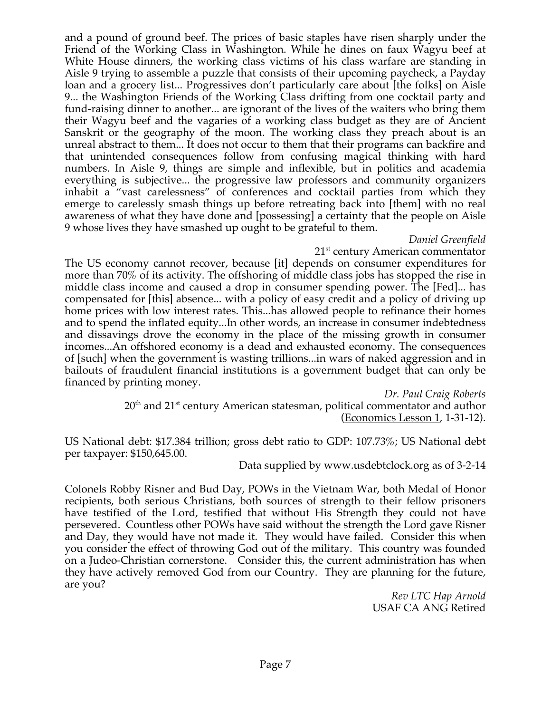and a pound of ground beef. The prices of basic staples have risen sharply under the Friend of the Working Class in Washington. While he dines on faux Wagyu beef at White House dinners, the working class victims of his class warfare are standing in Aisle 9 trying to assemble a puzzle that consists of their upcoming paycheck, a Payday loan and a grocery list... Progressives don't particularly care about [the folks] on Aisle 9... the Washington Friends of the Working Class drifting from one cocktail party and fund-raising dinner to another... are ignorant of the lives of the waiters who bring them their Wagyu beef and the vagaries of a working class budget as they are of Ancient Sanskrit or the geography of the moon. The working class they preach about is an unreal abstract to them... It does not occur to them that their programs can backfire and that unintended consequences follow from confusing magical thinking with hard numbers. In Aisle 9, things are simple and inflexible, but in politics and academia everything is subjective... the progressive law professors and community organizers inhabit a "vast carelessness" of conferences and cocktail parties from which they emerge to carelessly smash things up before retreating back into [them] with no real awareness of what they have done and [possessing] a certainty that the people on Aisle 9 whose lives they have smashed up ought to be grateful to them.

## *Daniel Greenfield*

## 21<sup>st</sup> century American commentator

The US economy cannot recover, because [it] depends on consumer expenditures for more than 70% of its activity. The offshoring of middle class jobs has stopped the rise in middle class income and caused a drop in consumer spending power. The [Fed]... has compensated for [this] absence... with a policy of easy credit and a policy of driving up home prices with low interest rates. This...has allowed people to refinance their homes and to spend the inflated equity...In other words, an increase in consumer indebtedness and dissavings drove the economy in the place of the missing growth in consumer incomes...An offshored economy is a dead and exhausted economy. The consequences of [such] when the government is wasting trillions...in wars of naked aggression and in bailouts of fraudulent financial institutions is a government budget that can only be financed by printing money.

> *Dr. Paul Craig Roberts*  $20<sup>th</sup>$  and  $21<sup>st</sup>$  century American statesman, political commentator and author (Economics Lesson 1, 1-31-12).

US National debt: \$17.384 trillion; gross debt ratio to GDP: 107.73%; US National debt per taxpayer: \$150,645.00.

Data supplied by www.usdebtclock.org as of 3-2-14

Colonels Robby Risner and Bud Day, POWs in the Vietnam War, both Medal of Honor recipients, both serious Christians, both sources of strength to their fellow prisoners have testified of the Lord, testified that without His Strength they could not have persevered. Countless other POWs have said without the strength the Lord gave Risner and Day, they would have not made it. They would have failed. Consider this when you consider the effect of throwing God out of the military. This country was founded on a Judeo-Christian cornerstone. Consider this, the current administration has when they have actively removed God from our Country. They are planning for the future, are you?

*Rev LTC Hap Arnold* USAF CA ANG Retired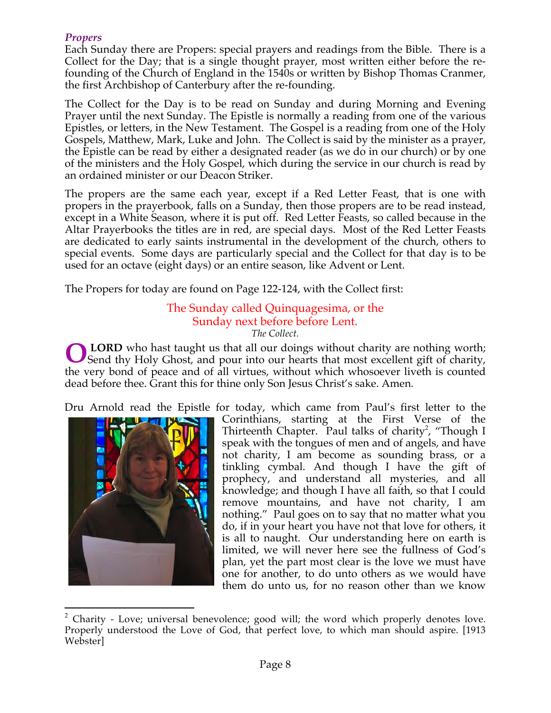# *Propers*

Each Sunday there are Propers: special prayers and readings from the Bible. There is a Collect for the Day; that is a single thought prayer, most written either before the refounding of the Church of England in the 1540s or written by Bishop Thomas Cranmer, the first Archbishop of Canterbury after the re-founding.

The Collect for the Day is to be read on Sunday and during Morning and Evening Prayer until the next Sunday. The Epistle is normally a reading from one of the various Epistles, or letters, in the New Testament. The Gospel is a reading from one of the Holy Gospels, Matthew, Mark, Luke and John. The Collect is said by the minister as a prayer, the Epistle can be read by either a designated reader (as we do in our church) or by one of the ministers and the Holy Gospel, which during the service in our church is read by an ordained minister or our Deacon Striker.

The propers are the same each year, except if a Red Letter Feast, that is one with propers in the prayerbook, falls on a Sunday, then those propers are to be read instead, except in a White Season, where it is put off. Red Letter Feasts, so called because in the Altar Prayerbooks the titles are in red, are special days. Most of the Red Letter Feasts are dedicated to early saints instrumental in the development of the church, others to special events. Some days are particularly special and the Collect for that day is to be used for an octave (eight days) or an entire season, like Advent or Lent.

The Propers for today are found on Page 122-124, with the Collect first:

#### The Sunday called Quinquagesima, or the Sunday next before before Lent. *The Collect.*

**LORD** who hast taught us that all our doings without charity are nothing worth; Send thy Holy Ghost, and pour into our hearts that most excellent gift of charity, the very bond of peace and of all virtues, without which whosoever liveth is counted dead before thee. Grant this for thine only Son Jesus Christ's sake. Amen*.* **O**

Dru Arnold read the Epistle for today, which came from Paul's first letter to the



Corinthians, starting at the First Verse of the Thirteenth Chapter. Paul talks of charity<sup>2</sup>, "Though I speak with the tongues of men and of angels, and have not charity, I am become as sounding brass, or a tinkling cymbal. And though I have the gift of prophecy, and understand all mysteries, and all knowledge; and though I have all faith, so that I could remove mountains, and have not charity, I am nothing." Paul goes on to say that no matter what you do, if in your heart you have not that love for others, it is all to naught. Our understanding here on earth is limited, we will never here see the fullness of God's plan, yet the part most clear is the love we must have one for another, to do unto others as we would have them do unto us, for no reason other than we know

<sup>&</sup>lt;sup>2</sup> Charity - Love; universal benevolence; good will; the word which properly denotes love. Properly understood the Love of God, that perfect love, to which man should aspire. [1913 Webster]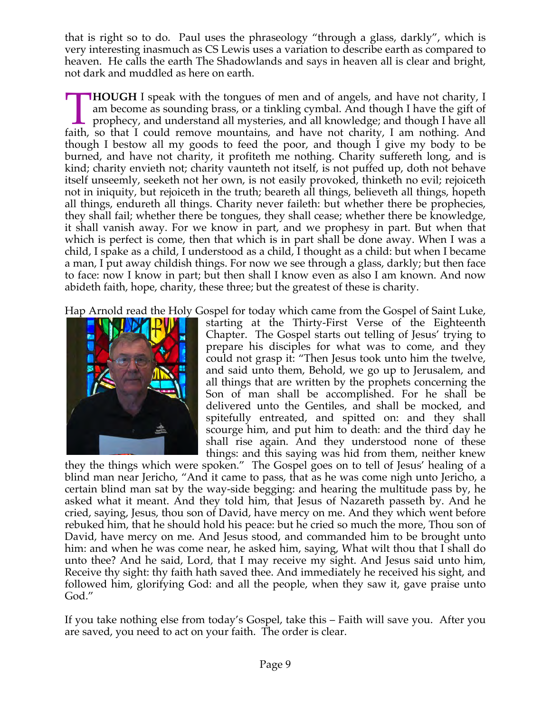that is right so to do. Paul uses the phraseology "through a glass, darkly", which is very interesting inasmuch as CS Lewis uses a variation to describe earth as compared to heaven. He calls the earth The Shadowlands and says in heaven all is clear and bright, not dark and muddled as here on earth.

**HOUGH** I speak with the tongues of men and of angels, and have not charity, I am become as sounding brass, or a tinkling cymbal. And though I have the gift of prophecy, and understand all mysteries, and all knowledge; and though I have all **HOUGH** I speak with the tongues of men and of angels, and have not charity, I am become as sounding brass, or a tinkling cymbal. And though I have the gift of prophecy, and understand all mysteries, and all knowledge; and though I bestow all my goods to feed the poor, and though I give my body to be burned, and have not charity, it profiteth me nothing. Charity suffereth long, and is kind; charity envieth not; charity vaunteth not itself, is not puffed up, doth not behave itself unseemly, seeketh not her own, is not easily provoked, thinketh no evil; rejoiceth not in iniquity, but rejoiceth in the truth; beareth all things, believeth all things, hopeth all things, endureth all things. Charity never faileth: but whether there be prophecies, they shall fail; whether there be tongues, they shall cease; whether there be knowledge, it shall vanish away. For we know in part, and we prophesy in part. But when that which is perfect is come, then that which is in part shall be done away. When I was a child, I spake as a child, I understood as a child, I thought as a child: but when I became a man, I put away childish things. For now we see through a glass, darkly; but then face to face: now I know in part; but then shall I know even as also I am known. And now abideth faith, hope, charity, these three; but the greatest of these is charity.

Hap Arnold read the Holy Gospel for today which came from the Gospel of Saint Luke,



starting at the Thirty-First Verse of the Eighteenth Chapter. The Gospel starts out telling of Jesus' trying to prepare his disciples for what was to come, and they could not grasp it: "Then Jesus took unto him the twelve, and said unto them, Behold, we go up to Jerusalem, and all things that are written by the prophets concerning the Son of man shall be accomplished. For he shall be delivered unto the Gentiles, and shall be mocked, and spitefully entreated, and spitted on: and they shall scourge him, and put him to death: and the third day he shall rise again. And they understood none of these things: and this saying was hid from them, neither knew

they the things which were spoken." The Gospel goes on to tell of Jesus' healing of a blind man near Jericho, "And it came to pass, that as he was come nigh unto Jericho, a certain blind man sat by the way-side begging: and hearing the multitude pass by, he asked what it meant. And they told him, that Jesus of Nazareth passeth by. And he cried, saying, Jesus, thou son of David, have mercy on me. And they which went before rebuked him, that he should hold his peace: but he cried so much the more, Thou son of David, have mercy on me. And Jesus stood, and commanded him to be brought unto him: and when he was come near, he asked him, saying, What wilt thou that I shall do unto thee? And he said, Lord, that I may receive my sight. And Jesus said unto him, Receive thy sight: thy faith hath saved thee. And immediately he received his sight, and followed him, glorifying God: and all the people, when they saw it, gave praise unto God."

If you take nothing else from today's Gospel, take this – Faith will save you. After you are saved, you need to act on your faith. The order is clear.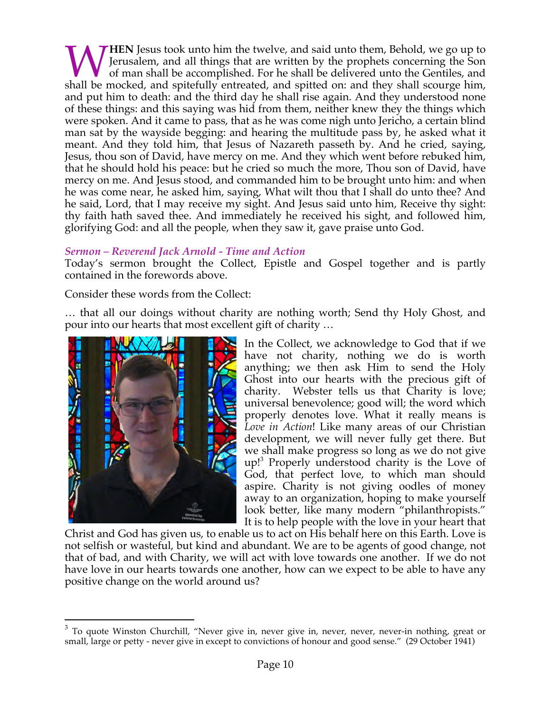**HEN** Jesus took unto him the twelve, and said unto them, Behold, we go up to Jerusalem, and all things that are written by the prophets concerning the Son of man shall be accomplished. For he shall be delivered unto the Gentiles, and **Shall be mocked, and spitefully entreated, and spitted on: and they shall scourge him,** the mocked, and spitefully entreated, and spitted on: and they shall scourge him, and put him to death: and the third day he shall rise again. And they understood none of these things: and this saying was hid from them, neither knew they the things which were spoken. And it came to pass, that as he was come nigh unto Jericho, a certain blind man sat by the wayside begging: and hearing the multitude pass by, he asked what it meant. And they told him, that Jesus of Nazareth passeth by. And he cried, saying, Jesus, thou son of David, have mercy on me. And they which went before rebuked him, that he should hold his peace: but he cried so much the more, Thou son of David, have mercy on me. And Jesus stood, and commanded him to be brought unto him: and when he was come near, he asked him, saying, What wilt thou that I shall do unto thee? And he said, Lord, that I may receive my sight. And Jesus said unto him, Receive thy sight: thy faith hath saved thee. And immediately he received his sight, and followed him, glorifying God: and all the people, when they saw it, gave praise unto God.

## *Sermon – Reverend Jack Arnold - Time and Action*

Today's sermon brought the Collect, Epistle and Gospel together and is partly contained in the forewords above.

Consider these words from the Collect:

… that all our doings without charity are nothing worth; Send thy Holy Ghost, and pour into our hearts that most excellent gift of charity …



In the Collect, we acknowledge to God that if we have not charity, nothing we do is worth anything; we then ask Him to send the Holy Ghost into our hearts with the precious gift of charity. Webster tells us that Charity is love; universal benevolence; good will; the word which properly denotes love. What it really means is *Love in Action*! Like many areas of our Christian development, we will never fully get there. But we shall make progress so long as we do not give up!3 Properly understood charity is the Love of God, that perfect love, to which man should aspire. Charity is not giving oodles of money away to an organization, hoping to make yourself look better, like many modern "philanthropists." It is to help people with the love in your heart that

Christ and God has given us, to enable us to act on His behalf here on this Earth. Love is not selfish or wasteful, but kind and abundant. We are to be agents of good change, not that of bad, and with Charity, we will act with love towards one another. If we do not have love in our hearts towards one another, how can we expect to be able to have any positive change on the world around us?

 $3$  To quote Winston Churchill, "Never give in, never give in, never, never, never-in nothing, great or small, large or petty - never give in except to convictions of honour and good sense." (29 October 1941)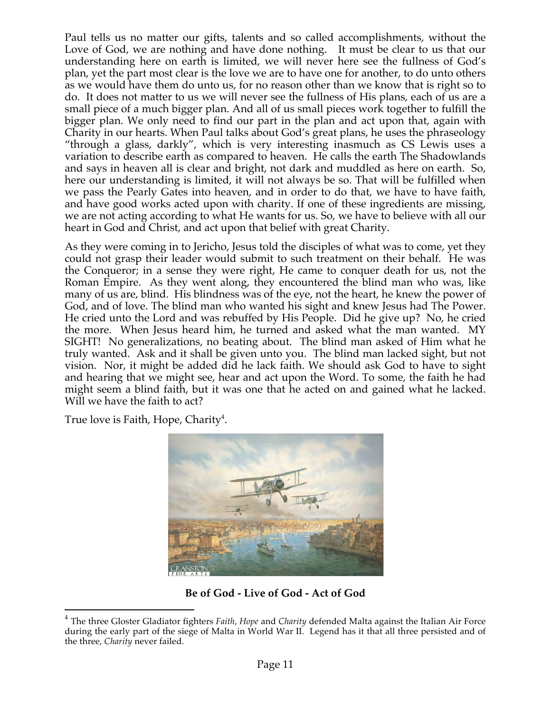Paul tells us no matter our gifts, talents and so called accomplishments, without the Love of God, we are nothing and have done nothing. It must be clear to us that our understanding here on earth is limited, we will never here see the fullness of God's plan, yet the part most clear is the love we are to have one for another, to do unto others as we would have them do unto us, for no reason other than we know that is right so to do. It does not matter to us we will never see the fullness of His plans, each of us are a small piece of a much bigger plan. And all of us small pieces work together to fulfill the bigger plan. We only need to find our part in the plan and act upon that, again with Charity in our hearts. When Paul talks about God's great plans, he uses the phraseology "through a glass, darkly", which is very interesting inasmuch as CS Lewis uses a variation to describe earth as compared to heaven. He calls the earth The Shadowlands and says in heaven all is clear and bright, not dark and muddled as here on earth. So, here our understanding is limited, it will not always be so. That will be fulfilled when we pass the Pearly Gates into heaven, and in order to do that, we have to have faith, and have good works acted upon with charity. If one of these ingredients are missing, we are not acting according to what He wants for us. So, we have to believe with all our heart in God and Christ, and act upon that belief with great Charity.

As they were coming in to Jericho, Jesus told the disciples of what was to come, yet they could not grasp their leader would submit to such treatment on their behalf. He was the Conqueror; in a sense they were right, He came to conquer death for us, not the Roman Empire. As they went along, they encountered the blind man who was, like many of us are, blind. His blindness was of the eye, not the heart, he knew the power of God, and of love. The blind man who wanted his sight and knew Jesus had The Power. He cried unto the Lord and was rebuffed by His People. Did he give up? No, he cried the more. When Jesus heard him, he turned and asked what the man wanted. MY SIGHT! No generalizations, no beating about. The blind man asked of Him what he truly wanted. Ask and it shall be given unto you. The blind man lacked sight, but not vision. Nor, it might be added did he lack faith. We should ask God to have to sight and hearing that we might see, hear and act upon the Word. To some, the faith he had might seem a blind faith, but it was one that he acted on and gained what he lacked. Will we have the faith to act?

True love is Faith, Hope, Charity $^4$ .



**Be of God - Live of God - Act of God**

 <sup>4</sup> The three Gloster Gladiator fighters *Faith*, *Hope* and *Charity* defended Malta against the Italian Air Force during the early part of the siege of Malta in World War II. Legend has it that all three persisted and of the three, *Charity* never failed.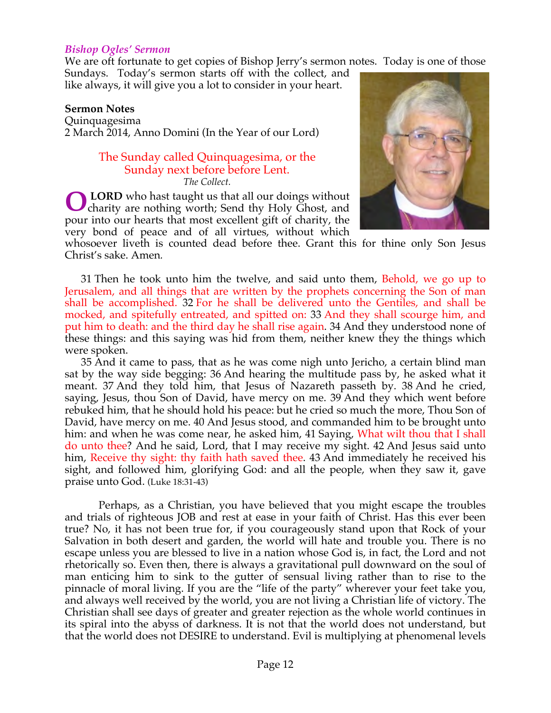#### *Bishop Ogles' Sermon*

We are oft fortunate to get copies of Bishop Jerry's sermon notes. Today is one of those

Sundays. Today's sermon starts off with the collect, and like always, it will give you a lot to consider in your heart.

**Sermon Notes** Quinquagesima 2 March 2014, Anno Domini (In the Year of our Lord)

#### The Sunday called Quinquagesima, or the Sunday next before before Lent. *The Collect.*

 **LORD** who hast taught us that all our doings without charity are nothing worth; Send thy Holy Ghost, and pour into our hearts that most excellent gift of charity, the very bond of peace and of all virtues, without which **O**



whosoever liveth is counted dead before thee. Grant this for thine only Son Jesus Christ's sake. Amen*.*

31 Then he took unto him the twelve, and said unto them, Behold, we go up to Jerusalem, and all things that are written by the prophets concerning the Son of man shall be accomplished. 32 For he shall be delivered unto the Gentiles, and shall be mocked, and spitefully entreated, and spitted on: 33 And they shall scourge him, and put him to death: and the third day he shall rise again. 34 And they understood none of these things: and this saying was hid from them, neither knew they the things which were spoken.

35 And it came to pass, that as he was come nigh unto Jericho, a certain blind man sat by the way side begging: 36 And hearing the multitude pass by, he asked what it meant. 37 And they told him, that Jesus of Nazareth passeth by. 38 And he cried, saying, Jesus, thou Son of David, have mercy on me. 39 And they which went before rebuked him, that he should hold his peace: but he cried so much the more, Thou Son of David, have mercy on me. 40 And Jesus stood, and commanded him to be brought unto him: and when he was come near, he asked him, 41 Saying, What wilt thou that I shall do unto thee? And he said, Lord, that I may receive my sight. 42 And Jesus said unto him, Receive thy sight: thy faith hath saved thee. 43 And immediately he received his sight, and followed him, glorifying God: and all the people, when they saw it, gave praise unto God. (Luke 18:31-43)

 Perhaps, as a Christian, you have believed that you might escape the troubles and trials of righteous JOB and rest at ease in your faith of Christ. Has this ever been true? No, it has not been true for, if you courageously stand upon that Rock of your Salvation in both desert and garden, the world will hate and trouble you. There is no escape unless you are blessed to live in a nation whose God is, in fact, the Lord and not rhetorically so. Even then, there is always a gravitational pull downward on the soul of man enticing him to sink to the gutter of sensual living rather than to rise to the pinnacle of moral living. If you are the "life of the party" wherever your feet take you, and always well received by the world, you are not living a Christian life of victory. The Christian shall see days of greater and greater rejection as the whole world continues in its spiral into the abyss of darkness. It is not that the world does not understand, but that the world does not DESIRE to understand. Evil is multiplying at phenomenal levels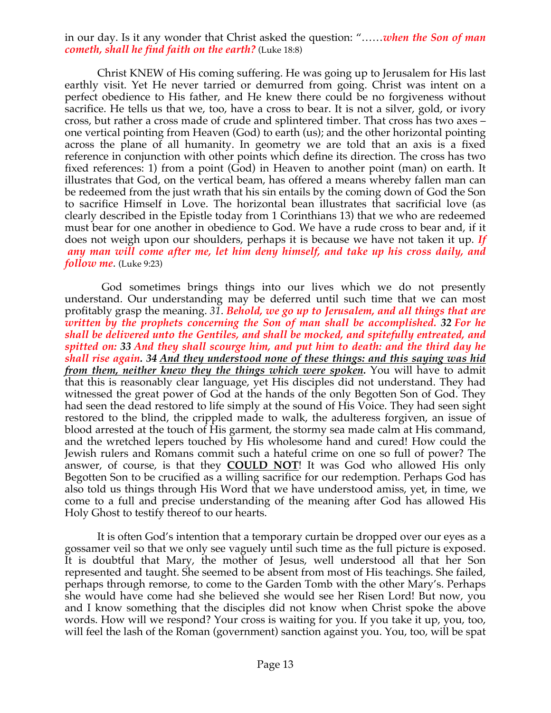in our day. Is it any wonder that Christ asked the question: "……*when the Son of man cometh, shall he find faith on the earth?* (Luke 18:8)

 Christ KNEW of His coming suffering. He was going up to Jerusalem for His last earthly visit. Yet He never tarried or demurred from going. Christ was intent on a perfect obedience to His father, and He knew there could be no forgiveness without sacrifice. He tells us that we, too, have a cross to bear. It is not a silver, gold, or ivory cross, but rather a cross made of crude and splintered timber. That cross has two axes – one vertical pointing from Heaven (God) to earth (us); and the other horizontal pointing across the plane of all humanity. In geometry we are told that an axis is a fixed reference in conjunction with other points which define its direction. The cross has two fixed references: 1) from a point (God) in Heaven to another point (man) on earth. It illustrates that God, on the vertical beam, has offered a means whereby fallen man can be redeemed from the just wrath that his sin entails by the coming down of God the Son to sacrifice Himself in Love. The horizontal bean illustrates that sacrificial love (as clearly described in the Epistle today from 1 Corinthians 13) that we who are redeemed must bear for one another in obedience to God. We have a rude cross to bear and, if it does not weigh upon our shoulders, perhaps it is because we have not taken it up. *If any man will come after me, let him deny himself, and take up his cross daily, and follow me*. (Luke 9:23)

 God sometimes brings things into our lives which we do not presently understand. Our understanding may be deferred until such time that we can most profitably grasp the meaning. *31*. *Behold, we go up to Jerusalem, and all things that are written by the prophets concerning the Son of man shall be accomplished. 32 For he shall be delivered unto the Gentiles, and shall be mocked, and spitefully entreated, and spitted on: 33 And they shall scourge him, and put him to death: and the third day he shall rise again. 34 And they understood none of these things: and this saying was hid from them, neither knew they the things which were spoken.* You will have to admit that this is reasonably clear language, yet His disciples did not understand. They had witnessed the great power of God at the hands of the only Begotten Son of God. They had seen the dead restored to life simply at the sound of His Voice. They had seen sight restored to the blind, the crippled made to walk, the adulteress forgiven, an issue of blood arrested at the touch of His garment, the stormy sea made calm at His command, and the wretched lepers touched by His wholesome hand and cured! How could the Jewish rulers and Romans commit such a hateful crime on one so full of power? The answer, of course, is that they **COULD NOT**! It was God who allowed His only Begotten Son to be crucified as a willing sacrifice for our redemption. Perhaps God has also told us things through His Word that we have understood amiss, yet, in time, we come to a full and precise understanding of the meaning after God has allowed His Holy Ghost to testify thereof to our hearts.

 It is often God's intention that a temporary curtain be dropped over our eyes as a gossamer veil so that we only see vaguely until such time as the full picture is exposed. It is doubtful that Mary, the mother of Jesus, well understood all that her Son represented and taught. She seemed to be absent from most of His teachings. She failed, perhaps through remorse, to come to the Garden Tomb with the other Mary's. Perhaps she would have come had she believed she would see her Risen Lord! But now, you and I know something that the disciples did not know when Christ spoke the above words. How will we respond? Your cross is waiting for you. If you take it up, you, too, will feel the lash of the Roman (government) sanction against you. You, too, will be spat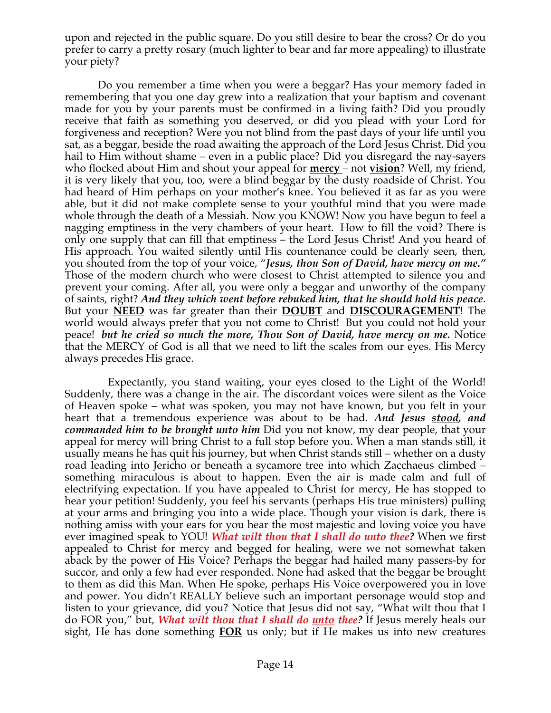upon and rejected in the public square. Do you still desire to bear the cross? Or do you prefer to carry a pretty rosary (much lighter to bear and far more appealing) to illustrate your piety?

 Do you remember a time when you were a beggar? Has your memory faded in remembering that you one day grew into a realization that your baptism and covenant made for you by your parents must be confirmed in a living faith? Did you proudly receive that faith as something you deserved, or did you plead with your Lord for forgiveness and reception? Were you not blind from the past days of your life until you sat, as a beggar, beside the road awaiting the approach of the Lord Jesus Christ. Did you hail to Him without shame – even in a public place? Did you disregard the nay-sayers who flocked about Him and shout your appeal for **mercy** – not **vision**? Well, my friend, it is very likely that you, too, were a blind beggar by the dusty roadside of Christ. You had heard of Him perhaps on your mother's knee. You believed it as far as you were able, but it did not make complete sense to your youthful mind that you were made whole through the death of a Messiah. Now you KNOW! Now you have begun to feel a nagging emptiness in the very chambers of your heart. How to fill the void? There is only one supply that can fill that emptiness – the Lord Jesus Christ! And you heard of His approach. You waited silently until His countenance could be clearly seen, then, you shouted from the top of your voice, "*Jesus, thou Son of David, have mercy on me."* Those of the modern church who were closest to Christ attempted to silence you and prevent your coming. After all, you were only a beggar and unworthy of the company of saints, right? *And they which went before rebuked him, that he should hold his peace*. But your **NEED** was far greater than their **DOUBT** and **DISCOURAGEMENT**! The world would always prefer that you not come to Christ! But you could not hold your peace! *but he cried so much the more, Thou Son of David, have mercy on me.* Notice that the MERCY of God is all that we need to lift the scales from our eyes. His Mercy always precedes His grace.

Expectantly, you stand waiting, your eyes closed to the Light of the World! Suddenly, there was a change in the air. The discordant voices were silent as the Voice of Heaven spoke – what was spoken, you may not have known, but you felt in your heart that a tremendous experience was about to be had. *And Jesus stood, and commanded him to be brought unto him* Did you not know, my dear people, that your appeal for mercy will bring Christ to a full stop before you. When a man stands still, it usually means he has quit his journey, but when Christ stands still – whether on a dusty road leading into Jericho or beneath a sycamore tree into which Zacchaeus climbed – something miraculous is about to happen. Even the air is made calm and full of electrifying expectation. If you have appealed to Christ for mercy, He has stopped to hear your petition! Suddenly, you feel his servants (perhaps His true ministers) pulling at your arms and bringing you into a wide place. Though your vision is dark, there is nothing amiss with your ears for you hear the most majestic and loving voice you have ever imagined speak to YOU! *What wilt thou that I shall do unto thee?* When we first appealed to Christ for mercy and begged for healing, were we not somewhat taken aback by the power of His Voice? Perhaps the beggar had hailed many passers-by for succor, and only a few had ever responded. None had asked that the beggar be brought to them as did this Man. When He spoke, perhaps His Voice overpowered you in love and power. You didn't REALLY believe such an important personage would stop and listen to your grievance, did you? Notice that Jesus did not say, "What wilt thou that I do FOR you," but, *What wilt thou that I shall do unto thee?* If Jesus merely heals our sight, He has done something **FOR** us only; but if He makes us into new creatures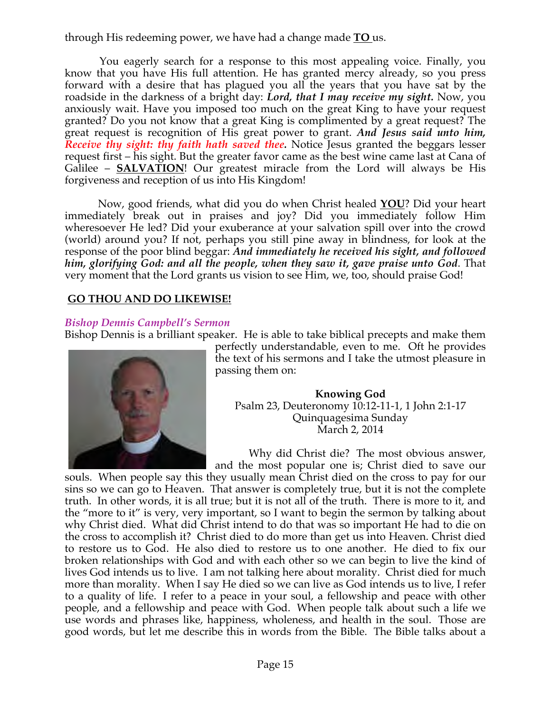through His redeeming power, we have had a change made **TO** us.

 You eagerly search for a response to this most appealing voice. Finally, you know that you have His full attention. He has granted mercy already, so you press forward with a desire that has plagued you all the years that you have sat by the roadside in the darkness of a bright day: *Lord, that I may receive my sight.* Now, you anxiously wait. Have you imposed too much on the great King to have your request granted? Do you not know that a great King is complimented by a great request? The great request is recognition of His great power to grant. *And Jesus said unto him, Receive thy sight: thy faith hath saved thee.* Notice Jesus granted the beggars lesser request first – his sight. But the greater favor came as the best wine came last at Cana of Galilee – **SALVATION**! Our greatest miracle from the Lord will always be His forgiveness and reception of us into His Kingdom!

 Now, good friends, what did you do when Christ healed **YOU**? Did your heart immediately break out in praises and joy? Did you immediately follow Him wheresoever He led? Did your exuberance at your salvation spill over into the crowd (world) around you? If not, perhaps you still pine away in blindness, for look at the response of the poor blind beggar: *And immediately he received his sight, and followed him, glorifying God: and all the people, when they saw it, gave praise unto God*. That very moment that the Lord grants us vision to see Him, we, too, should praise God!

## **GO THOU AND DO LIKEWISE!**

## *Bishop Dennis Campbell's Sermon*

Bishop Dennis is a brilliant speaker. He is able to take biblical precepts and make them



perfectly understandable, even to me. Oft he provides the text of his sermons and I take the utmost pleasure in passing them on:

**Knowing God** Psalm 23, Deuteronomy 10:12-11-1, 1 John 2:1-17 Quinquagesima Sunday March 2, 2014

 Why did Christ die? The most obvious answer, and the most popular one is; Christ died to save our

souls. When people say this they usually mean Christ died on the cross to pay for our sins so we can go to Heaven. That answer is completely true, but it is not the complete truth. In other words, it is all true; but it is not all of the truth. There is more to it, and the "more to it" is very, very important, so I want to begin the sermon by talking about why Christ died. What did Christ intend to do that was so important He had to die on the cross to accomplish it? Christ died to do more than get us into Heaven. Christ died to restore us to God. He also died to restore us to one another. He died to fix our broken relationships with God and with each other so we can begin to live the kind of lives God intends us to live. I am not talking here about morality. Christ died for much more than morality. When I say He died so we can live as God intends us to live, I refer to a quality of life. I refer to a peace in your soul, a fellowship and peace with other people, and a fellowship and peace with God. When people talk about such a life we use words and phrases like, happiness, wholeness, and health in the soul. Those are good words, but let me describe this in words from the Bible. The Bible talks about a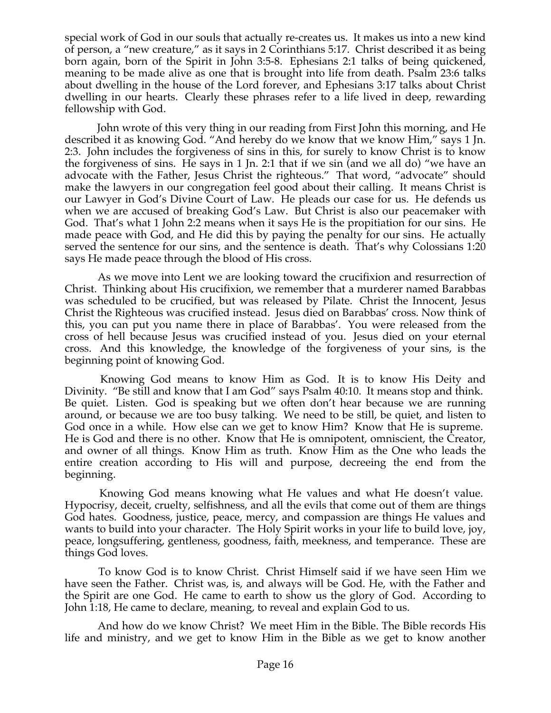special work of God in our souls that actually re-creates us. It makes us into a new kind of person, a "new creature," as it says in 2 Corinthians 5:17. Christ described it as being born again, born of the Spirit in John 3:5-8. Ephesians 2:1 talks of being quickened, meaning to be made alive as one that is brought into life from death. Psalm 23:6 talks about dwelling in the house of the Lord forever, and Ephesians 3:17 talks about Christ dwelling in our hearts. Clearly these phrases refer to a life lived in deep, rewarding fellowship with God.

 John wrote of this very thing in our reading from First John this morning, and He described it as knowing God. "And hereby do we know that we know Him," says 1 Jn. 2:3. John includes the forgiveness of sins in this, for surely to know Christ is to know the forgiveness of sins. He says in 1 Jn. 2:1 that if we sin (and we all do) "we have an advocate with the Father, Jesus Christ the righteous." That word, "advocate" should make the lawyers in our congregation feel good about their calling. It means Christ is our Lawyer in God's Divine Court of Law. He pleads our case for us. He defends us when we are accused of breaking God's Law. But Christ is also our peacemaker with God. That's what 1 John 2:2 means when it says He is the propitiation for our sins. He made peace with God, and He did this by paying the penalty for our sins. He actually served the sentence for our sins, and the sentence is death. That's why Colossians 1:20 says He made peace through the blood of His cross.

 As we move into Lent we are looking toward the crucifixion and resurrection of Christ. Thinking about His crucifixion, we remember that a murderer named Barabbas was scheduled to be crucified, but was released by Pilate. Christ the Innocent, Jesus Christ the Righteous was crucified instead. Jesus died on Barabbas' cross. Now think of this, you can put you name there in place of Barabbas'. You were released from the cross of hell because Jesus was crucified instead of you. Jesus died on your eternal cross. And this knowledge, the knowledge of the forgiveness of your sins, is the beginning point of knowing God.

 Knowing God means to know Him as God. It is to know His Deity and Divinity. "Be still and know that I am God" says Psalm 40:10. It means stop and think. Be quiet. Listen. God is speaking but we often don't hear because we are running around, or because we are too busy talking. We need to be still, be quiet, and listen to God once in a while. How else can we get to know Him? Know that He is supreme. He is God and there is no other. Know that He is omnipotent, omniscient, the Creator, and owner of all things. Know Him as truth. Know Him as the One who leads the entire creation according to His will and purpose, decreeing the end from the beginning.

 Knowing God means knowing what He values and what He doesn't value. Hypocrisy, deceit, cruelty, selfishness, and all the evils that come out of them are things God hates. Goodness, justice, peace, mercy, and compassion are things He values and wants to build into your character. The Holy Spirit works in your life to build love, joy, peace, longsuffering, gentleness, goodness, faith, meekness, and temperance. These are things God loves.

 To know God is to know Christ. Christ Himself said if we have seen Him we have seen the Father. Christ was, is, and always will be God. He, with the Father and the Spirit are one God. He came to earth to show us the glory of God. According to John 1:18, He came to declare, meaning, to reveal and explain God to us.

 And how do we know Christ? We meet Him in the Bible. The Bible records His life and ministry, and we get to know Him in the Bible as we get to know another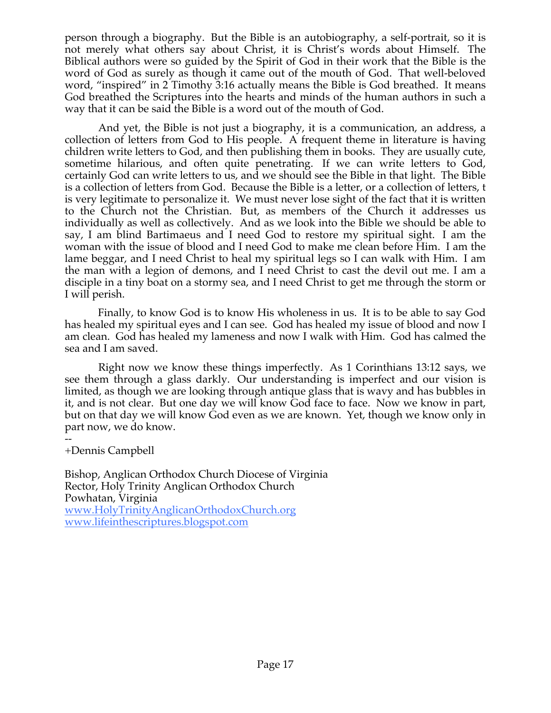person through a biography. But the Bible is an autobiography, a self-portrait, so it is not merely what others say about Christ, it is Christ's words about Himself. The Biblical authors were so guided by the Spirit of God in their work that the Bible is the word of God as surely as though it came out of the mouth of God. That well-beloved word, "inspired" in 2 Timothy 3:16 actually means the Bible is God breathed. It means God breathed the Scriptures into the hearts and minds of the human authors in such a way that it can be said the Bible is a word out of the mouth of God.

 And yet, the Bible is not just a biography, it is a communication, an address, a collection of letters from God to His people. A frequent theme in literature is having children write letters to God, and then publishing them in books. They are usually cute, sometime hilarious, and often quite penetrating. If we can write letters to God, certainly God can write letters to us, and we should see the Bible in that light. The Bible is a collection of letters from God. Because the Bible is a letter, or a collection of letters, t is very legitimate to personalize it. We must never lose sight of the fact that it is written to the Church not the Christian. But, as members of the Church it addresses us individually as well as collectively. And as we look into the Bible we should be able to say, I am blind Bartimaeus and I need God to restore my spiritual sight. I am the woman with the issue of blood and I need God to make me clean before Him. I am the lame beggar, and I need Christ to heal my spiritual legs so I can walk with Him. I am the man with a legion of demons, and I need Christ to cast the devil out me. I am a disciple in a tiny boat on a stormy sea, and I need Christ to get me through the storm or I will perish.

 Finally, to know God is to know His wholeness in us. It is to be able to say God has healed my spiritual eyes and I can see. God has healed my issue of blood and now I am clean. God has healed my lameness and now I walk with Him. God has calmed the sea and I am saved.

 Right now we know these things imperfectly. As 1 Corinthians 13:12 says, we see them through a glass darkly. Our understanding is imperfect and our vision is limited, as though we are looking through antique glass that is wavy and has bubbles in it, and is not clear. But one day we will know God face to face. Now we know in part, but on that day we will know God even as we are known. Yet, though we know only in part now, we do know.

-- +Dennis Campbell

Bishop, Anglican Orthodox Church Diocese of Virginia Rector, Holy Trinity Anglican Orthodox Church Powhatan, Virginia www.HolyTrinityAnglicanOrthodoxChurch.org www.lifeinthescriptures.blogspot.com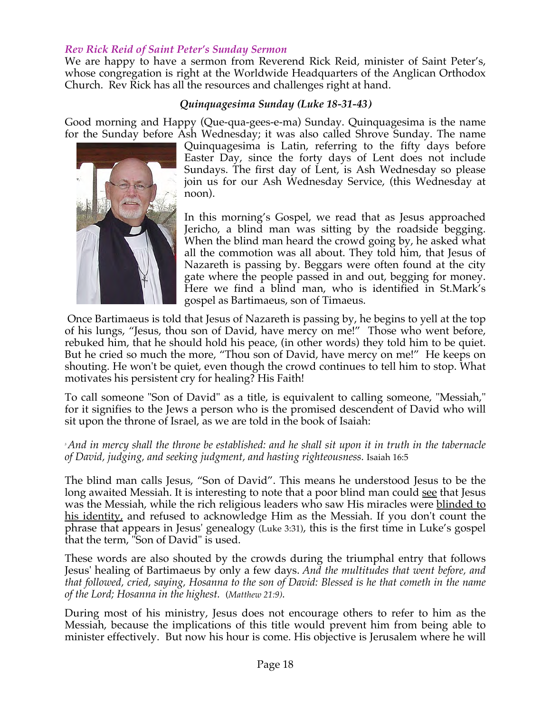## *Rev Rick Reid of Saint Peter's Sunday Sermon*

We are happy to have a sermon from Reverend Rick Reid, minister of Saint Peter's, whose congregation is right at the Worldwide Headquarters of the Anglican Orthodox Church. Rev Rick has all the resources and challenges right at hand.

## *Quinquagesima Sunday (Luke 18-31-43)*

Good morning and Happy (Que-qua-gees-e-ma) Sunday. Quinquagesima is the name for the Sunday before Ash Wednesday; it was also called Shrove Sunday. The name



Quinquagesima is Latin, referring to the fifty days before Easter Day, since the forty days of Lent does not include Sundays. The first day of Lent, is Ash Wednesday so please join us for our Ash Wednesday Service, (this Wednesday at noon).

In this morning's Gospel, we read that as Jesus approached Jericho, a blind man was sitting by the roadside begging. When the blind man heard the crowd going by, he asked what all the commotion was all about. They told him, that Jesus of Nazareth is passing by. Beggars were often found at the city gate where the people passed in and out, begging for money. Here we find a blind man, who is identified in St.Mark's gospel as Bartimaeus, son of Timaeus.

 Once Bartimaeus is told that Jesus of Nazareth is passing by, he begins to yell at the top of his lungs, "Jesus, thou son of David, have mercy on me!" Those who went before, rebuked him, that he should hold his peace, (in other words) they told him to be quiet. But he cried so much the more, "Thou son of David, have mercy on me!" He keeps on shouting. He won't be quiet, even though the crowd continues to tell him to stop. What motivates his persistent cry for healing? His Faith!

To call someone "Son of David" as a title, is equivalent to calling someone, "Messiah," for it signifies to the Jews a person who is the promised descendent of David who will sit upon the throne of Israel, as we are told in the book of Isaiah:

*5 And in mercy shall the throne be established: and he shall sit upon it in truth in the tabernacle of David, judging, and seeking judgment, and hasting righteousness.* Isaiah 16:5

The blind man calls Jesus, "Son of David". This means he understood Jesus to be the long awaited Messiah. It is interesting to note that a poor blind man could see that Jesus was the Messiah, while the rich religious leaders who saw His miracles were blinded to his identity, and refused to acknowledge Him as the Messiah. If you don't count the phrase that appears in Jesus' genealogy (Luke 3:31), this is the first time in Luke's gospel that the term, "Son of David" is used.

These words are also shouted by the crowds during the triumphal entry that follows Jesus' healing of Bartimaeus by only a few days. *And the multitudes that went before, and that followed, cried, saying, Hosanna to the son of David: Blessed is he that cometh in the name of the Lord; Hosanna in the highest.* (*Matthew 21:9).*

During most of his ministry, Jesus does not encourage others to refer to him as the Messiah, because the implications of this title would prevent him from being able to minister effectively. But now his hour is come. His objective is Jerusalem where he will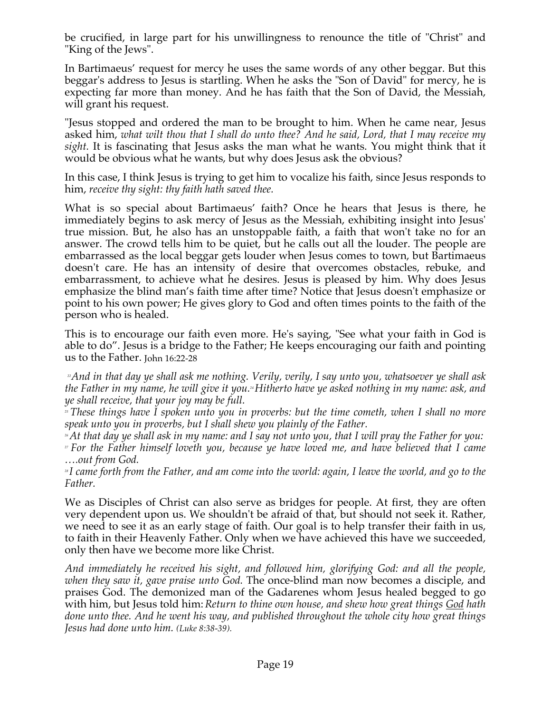be crucified, in large part for his unwillingness to renounce the title of "Christ" and "King of the Jews".

In Bartimaeus' request for mercy he uses the same words of any other beggar. But this beggar's address to Jesus is startling. When he asks the "Son of David" for mercy, he is expecting far more than money. And he has faith that the Son of David, the Messiah, will grant his request.

"Jesus stopped and ordered the man to be brought to him. When he came near, Jesus asked him, *what wilt thou that I shall do unto thee? And he said, Lord, that I may receive my sight.* It is fascinating that Jesus asks the man what he wants. You might think that it would be obvious what he wants, but why does Jesus ask the obvious?

In this case, I think Jesus is trying to get him to vocalize his faith, since Jesus responds to him, *receive thy sight: thy faith hath saved thee.*

What is so special about Bartimaeus' faith? Once he hears that Jesus is there, he immediately begins to ask mercy of Jesus as the Messiah, exhibiting insight into Jesus' true mission. But, he also has an unstoppable faith, a faith that won't take no for an answer. The crowd tells him to be quiet, but he calls out all the louder. The people are embarrassed as the local beggar gets louder when Jesus comes to town, but Bartimaeus doesn't care. He has an intensity of desire that overcomes obstacles, rebuke, and embarrassment, to achieve what he desires. Jesus is pleased by him. Why does Jesus emphasize the blind man's faith time after time? Notice that Jesus doesn't emphasize or point to his own power; He gives glory to God and often times points to the faith of the person who is healed.

This is to encourage our faith even more. He's saying, "See what your faith in God is able to do". Jesus is a bridge to the Father; He keeps encouraging our faith and pointing us to the Father. John 16:22-28

*22And in that day ye shall ask me nothing. Verily, verily, I say unto you, whatsoever ye shall ask the Father in my name, he will give it you.24 Hitherto have ye asked nothing in my name: ask, and ye shall receive, that your joy may be full.*

*25 These things have I spoken unto you in proverbs: but the time cometh, when I shall no more speak unto you in proverbs, but I shall shew you plainly of the Father.*

*26 At that day ye shall ask in my name: and I say not unto you, that I will pray the Father for you: 27 For the Father himself loveth you, because ye have loved me, and have believed that I came ….out from God.*

*28 I came forth from the Father, and am come into the world: again, I leave the world, and go to the Father.*

We as Disciples of Christ can also serve as bridges for people. At first, they are often very dependent upon us. We shouldn't be afraid of that, but should not seek it. Rather, we need to see it as an early stage of faith. Our goal is to help transfer their faith in us, to faith in their Heavenly Father. Only when we have achieved this have we succeeded, only then have we become more like Christ.

*And immediately he received his sight, and followed him, glorifying God: and all the people, when they saw it, gave praise unto God.* The once-blind man now becomes a disciple, and praises God. The demonized man of the Gadarenes whom Jesus healed begged to go with him, but Jesus told him:*Return to thine own house, and shew how great things God hath done unto thee. And he went his way, and published throughout the whole city how great things Jesus had done unto him. (Luke 8:38-39).*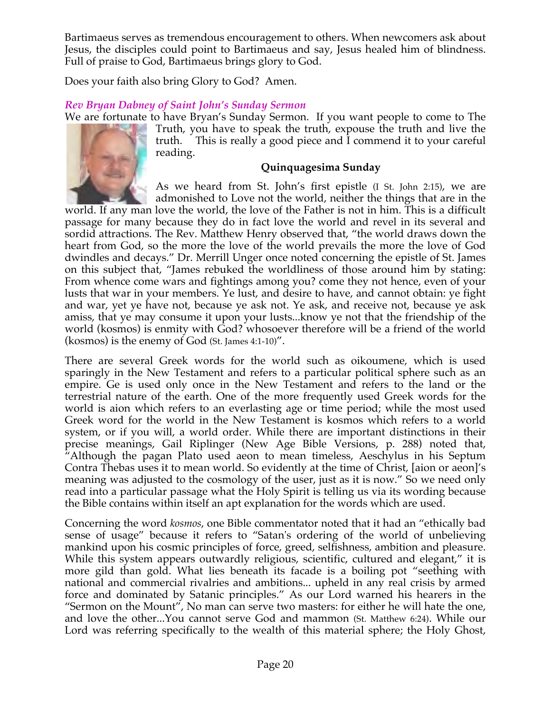Bartimaeus serves as tremendous encouragement to others. When newcomers ask about Jesus, the disciples could point to Bartimaeus and say, Jesus healed him of blindness. Full of praise to God, Bartimaeus brings glory to God.

Does your faith also bring Glory to God? Amen.

# *Rev Bryan Dabney of Saint John's Sunday Sermon*

We are fortunate to have Bryan's Sunday Sermon. If you want people to come to The Truth, you have to speak the truth, expouse the truth and live the



truth. This is really a good piece and I commend it to your careful reading.

## **Quinquagesima Sunday**

As we heard from St. John's first epistle (I St. John 2:15), we are admonished to Love not the world, neither the things that are in the

world. If any man love the world, the love of the Father is not in him. This is a difficult passage for many because they do in fact love the world and revel in its several and sordid attractions. The Rev. Matthew Henry observed that, "the world draws down the heart from God, so the more the love of the world prevails the more the love of God dwindles and decays." Dr. Merrill Unger once noted concerning the epistle of St. James on this subject that, "James rebuked the worldliness of those around him by stating: From whence come wars and fightings among you? come they not hence, even of your lusts that war in your members. Ye lust, and desire to have, and cannot obtain: ye fight and war, yet ye have not, because ye ask not. Ye ask, and receive not, because ye ask amiss, that ye may consume it upon your lusts...know ye not that the friendship of the world (kosmos) is enmity with God? whosoever therefore will be a friend of the world (kosmos) is the enemy of God (St. James 4:1-10)".

There are several Greek words for the world such as oikoumene, which is used sparingly in the New Testament and refers to a particular political sphere such as an empire. Ge is used only once in the New Testament and refers to the land or the terrestrial nature of the earth. One of the more frequently used Greek words for the world is aion which refers to an everlasting age or time period; while the most used Greek word for the world in the New Testament is kosmos which refers to a world system, or if you will, a world order. While there are important distinctions in their precise meanings, Gail Riplinger (New Age Bible Versions, p. 288) noted that, "Although the pagan Plato used aeon to mean timeless, Aeschylus in his Septum Contra Thebas uses it to mean world. So evidently at the time of Christ, [aion or aeon]'s meaning was adjusted to the cosmology of the user, just as it is now." So we need only read into a particular passage what the Holy Spirit is telling us via its wording because the Bible contains within itself an apt explanation for the words which are used.

Concerning the word *kosmos*, one Bible commentator noted that it had an "ethically bad sense of usage" because it refers to "Satan's ordering of the world of unbelieving mankind upon his cosmic principles of force, greed, selfishness, ambition and pleasure. While this system appears outwardly religious, scientific, cultured and elegant," it is more gild than gold. What lies beneath its facade is a boiling pot "seething with national and commercial rivalries and ambitions... upheld in any real crisis by armed force and dominated by Satanic principles." As our Lord warned his hearers in the "Sermon on the Mount", No man can serve two masters: for either he will hate the one, and love the other...You cannot serve God and mammon (St. Matthew 6:24). While our Lord was referring specifically to the wealth of this material sphere; the Holy Ghost,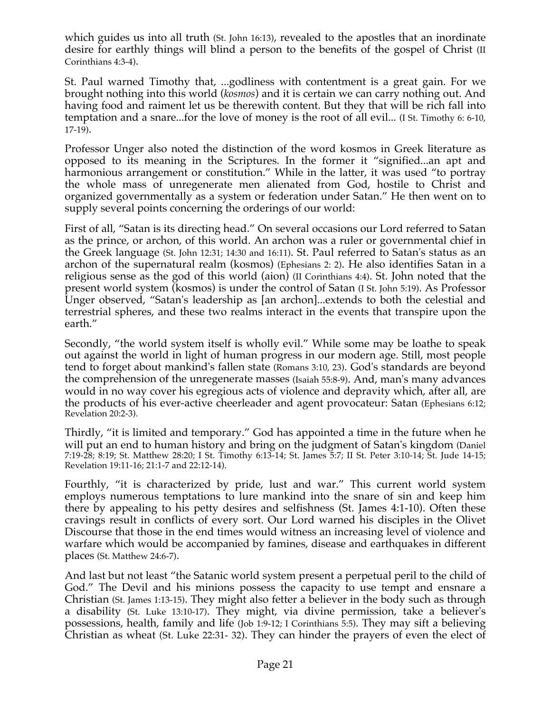which guides us into all truth (St. John 16:13), revealed to the apostles that an inordinate desire for earthly things will blind a person to the benefits of the gospel of Christ (II Corinthians 4:3-4).

St. Paul warned Timothy that, ...godliness with contentment is a great gain. For we brought nothing into this world (*kosmos*) and it is certain we can carry nothing out. And having food and raiment let us be therewith content. But they that will be rich fall into temptation and a snare...for the love of money is the root of all evil... (I St. Timothy 6: 6-10, 17-19).

Professor Unger also noted the distinction of the word kosmos in Greek literature as opposed to its meaning in the Scriptures. In the former it "signified...an apt and harmonious arrangement or constitution." While in the latter, it was used "to portray the whole mass of unregenerate men alienated from God, hostile to Christ and organized governmentally as a system or federation under Satan." He then went on to supply several points concerning the orderings of our world:

First of all, "Satan is its directing head." On several occasions our Lord referred to Satan as the prince, or archon, of this world. An archon was a ruler or governmental chief in the Greek language (St. John 12:31; 14:30 and 16:11). St. Paul referred to Satan's status as an archon of the supernatural realm (kosmos) (Ephesians 2: 2). He also identifies Satan in a religious sense as the god of this world (aion) (II Corinthians 4:4). St. John noted that the present world system (kosmos) is under the control of Satan (I St. John 5:19). As Professor Unger observed, "Satan's leadership as [an archon]...extends to both the celestial and terrestrial spheres, and these two realms interact in the events that transpire upon the earth."

Secondly, "the world system itself is wholly evil." While some may be loathe to speak out against the world in light of human progress in our modern age. Still, most people tend to forget about mankind's fallen state (Romans 3:10, 23). God's standards are beyond the comprehension of the unregenerate masses (Isaiah 55:8-9). And, man's many advances would in no way cover his egregious acts of violence and depravity which, after all, are the products of his ever-active cheerleader and agent provocateur: Satan (Ephesians 6:12; Revelation 20:2-3).

Thirdly, "it is limited and temporary." God has appointed a time in the future when he will put an end to human history and bring on the judgment of Satan's kingdom (Daniel 7:19-28; 8:19; St. Matthew 28:20; I St. Timothy 6:13-14; St. James 5:7; II St. Peter 3:10-14; St. Jude 14-15; Revelation 19:11-16; 21:1-7 and 22:12-14).

Fourthly, "it is characterized by pride, lust and war." This current world system employs numerous temptations to lure mankind into the snare of sin and keep him there by appealing to his petty desires and selfishness (St. James 4:1-10). Often these cravings result in conflicts of every sort. Our Lord warned his disciples in the Olivet Discourse that those in the end times would witness an increasing level of violence and warfare which would be accompanied by famines, disease and earthquakes in different places (St. Matthew 24:6-7).

And last but not least "the Satanic world system present a perpetual peril to the child of God." The Devil and his minions possess the capacity to use tempt and ensnare a Christian (St. James 1:13-15). They might also fetter a believer in the body such as through a disability (St. Luke 13:10-17). They might, via divine permission, take a believer's possessions, health, family and life (Job 1:9-12; I Corinthians 5:5). They may sift a believing Christian as wheat (St. Luke 22:31- 32). They can hinder the prayers of even the elect of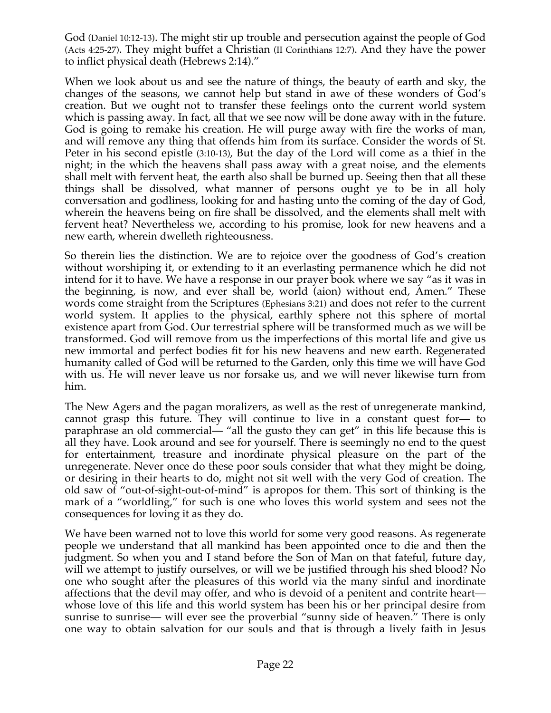God (Daniel 10:12-13). The might stir up trouble and persecution against the people of God (Acts 4:25-27). They might buffet a Christian (II Corinthians 12:7). And they have the power to inflict physical death (Hebrews 2:14)."

When we look about us and see the nature of things, the beauty of earth and sky, the changes of the seasons, we cannot help but stand in awe of these wonders of God's creation. But we ought not to transfer these feelings onto the current world system which is passing away. In fact, all that we see now will be done away with in the future. God is going to remake his creation. He will purge away with fire the works of man, and will remove any thing that offends him from its surface. Consider the words of St. Peter in his second epistle (3:10-13), But the day of the Lord will come as a thief in the night; in the which the heavens shall pass away with a great noise, and the elements shall melt with fervent heat, the earth also shall be burned up. Seeing then that all these things shall be dissolved, what manner of persons ought ye to be in all holy conversation and godliness, looking for and hasting unto the coming of the day of God, wherein the heavens being on fire shall be dissolved, and the elements shall melt with fervent heat? Nevertheless we, according to his promise, look for new heavens and a new earth, wherein dwelleth righteousness.

So therein lies the distinction. We are to rejoice over the goodness of God's creation without worshiping it, or extending to it an everlasting permanence which he did not intend for it to have. We have a response in our prayer book where we say "as it was in the beginning, is now, and ever shall be, world (aion) without end, Amen." These words come straight from the Scriptures (Ephesians 3:21) and does not refer to the current world system. It applies to the physical, earthly sphere not this sphere of mortal existence apart from God. Our terrestrial sphere will be transformed much as we will be transformed. God will remove from us the imperfections of this mortal life and give us new immortal and perfect bodies fit for his new heavens and new earth. Regenerated humanity called of God will be returned to the Garden, only this time we will have God with us. He will never leave us nor forsake us, and we will never likewise turn from him.

The New Agers and the pagan moralizers, as well as the rest of unregenerate mankind, cannot grasp this future. They will continue to live in a constant quest for— to paraphrase an old commercial— "all the gusto they can get" in this life because this is all they have. Look around and see for yourself. There is seemingly no end to the quest for entertainment, treasure and inordinate physical pleasure on the part of the unregenerate. Never once do these poor souls consider that what they might be doing, or desiring in their hearts to do, might not sit well with the very God of creation. The old saw of "out-of-sight-out-of-mind" is apropos for them. This sort of thinking is the mark of a "worldling," for such is one who loves this world system and sees not the consequences for loving it as they do.

We have been warned not to love this world for some very good reasons. As regenerate people we understand that all mankind has been appointed once to die and then the judgment. So when you and I stand before the Son of Man on that fateful, future day, will we attempt to justify ourselves, or will we be justified through his shed blood? No one who sought after the pleasures of this world via the many sinful and inordinate affections that the devil may offer, and who is devoid of a penitent and contrite heart whose love of this life and this world system has been his or her principal desire from sunrise to sunrise— will ever see the proverbial "sunny side of heaven." There is only one way to obtain salvation for our souls and that is through a lively faith in Jesus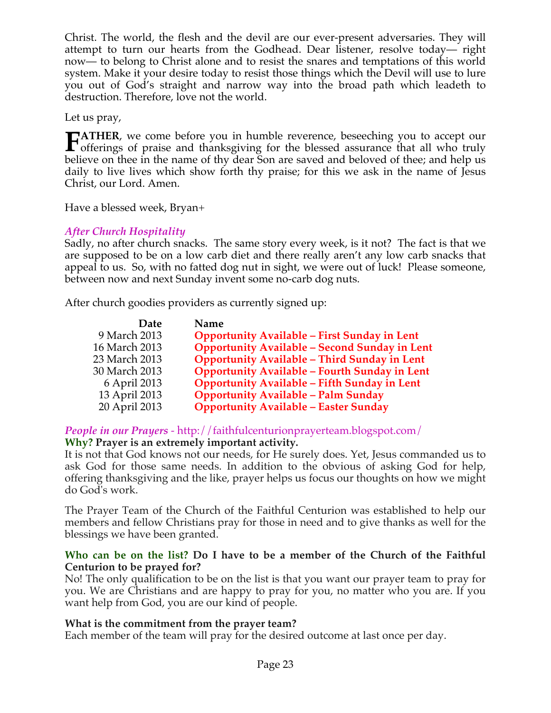Christ. The world, the flesh and the devil are our ever-present adversaries. They will attempt to turn our hearts from the Godhead. Dear listener, resolve today— right now— to belong to Christ alone and to resist the snares and temptations of this world system. Make it your desire today to resist those things which the Devil will use to lure you out of God's straight and narrow way into the broad path which leadeth to destruction. Therefore, love not the world.

Let us pray,

**ATHER**, we come before you in humble reverence, beseeching you to accept our **FATHER**, we come before you in humble reverence, beseeching you to accept our offerings of praise and thanksgiving for the blessed assurance that all who truly believe on thee in the name of thy dear Son are saved and beloved of thee; and help us daily to live lives which show forth thy praise; for this we ask in the name of Jesus Christ, our Lord. Amen.

Have a blessed week, Bryan+

# *After Church Hospitality*

Sadly, no after church snacks. The same story every week, is it not? The fact is that we are supposed to be on a low carb diet and there really aren't any low carb snacks that appeal to us. So, with no fatted dog nut in sight, we were out of luck! Please someone, between now and next Sunday invent some no-carb dog nuts.

After church goodies providers as currently signed up:

| Date          | <b>Name</b>                                          |
|---------------|------------------------------------------------------|
| 9 March 2013  | <b>Opportunity Available - First Sunday in Lent</b>  |
| 16 March 2013 | <b>Opportunity Available - Second Sunday in Lent</b> |
| 23 March 2013 | <b>Opportunity Available - Third Sunday in Lent</b>  |
| 30 March 2013 | <b>Opportunity Available - Fourth Sunday in Lent</b> |
| 6 April 2013  | Opportunity Available - Fifth Sunday in Lent         |
| 13 April 2013 | <b>Opportunity Available - Palm Sunday</b>           |
| 20 April 2013 | <b>Opportunity Available - Easter Sunday</b>         |

#### *People in our Prayers* - http://faithfulcenturionprayerteam.blogspot.com/ **Why? Prayer is an extremely important activity.**

It is not that God knows not our needs, for He surely does. Yet, Jesus commanded us to ask God for those same needs. In addition to the obvious of asking God for help, offering thanksgiving and the like, prayer helps us focus our thoughts on how we might do God's work.

The Prayer Team of the Church of the Faithful Centurion was established to help our members and fellow Christians pray for those in need and to give thanks as well for the blessings we have been granted.

## **Who can be on the list? Do I have to be a member of the Church of the Faithful Centurion to be prayed for?**

No! The only qualification to be on the list is that you want our prayer team to pray for you. We are Christians and are happy to pray for you, no matter who you are. If you want help from God, you are our kind of people.

# **What is the commitment from the prayer team?**

Each member of the team will pray for the desired outcome at last once per day.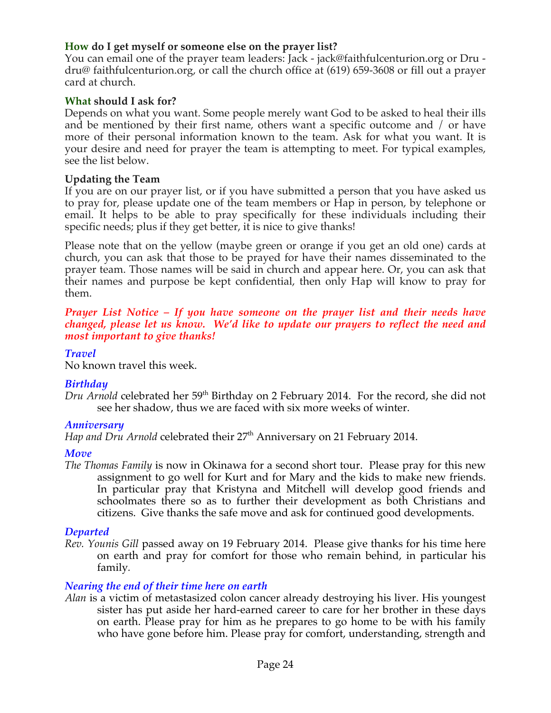# **How do I get myself or someone else on the prayer list?**

You can email one of the prayer team leaders: Jack - jack@faithfulcenturion.org or Dru dru@ faithfulcenturion.org, or call the church office at (619) 659-3608 or fill out a prayer card at church.

## **What should I ask for?**

Depends on what you want. Some people merely want God to be asked to heal their ills and be mentioned by their first name, others want a specific outcome and / or have more of their personal information known to the team. Ask for what you want. It is your desire and need for prayer the team is attempting to meet. For typical examples, see the list below.

#### **Updating the Team**

If you are on our prayer list, or if you have submitted a person that you have asked us to pray for, please update one of the team members or Hap in person, by telephone or email. It helps to be able to pray specifically for these individuals including their specific needs; plus if they get better, it is nice to give thanks!

Please note that on the yellow (maybe green or orange if you get an old one) cards at church, you can ask that those to be prayed for have their names disseminated to the prayer team. Those names will be said in church and appear here. Or, you can ask that their names and purpose be kept confidential, then only Hap will know to pray for them.

*Prayer List Notice – If you have someone on the prayer list and their needs have changed, please let us know. We'd like to update our prayers to reflect the need and most important to give thanks!*

#### *Travel*

No known travel this week.

## *Birthday*

*Dru Arnold* celebrated her 59<sup>th</sup> Birthday on 2 February 2014. For the record, she did not see her shadow, thus we are faced with six more weeks of winter.

#### *Anniversary*

*Hap and Dru Arnold* celebrated their 27<sup>th</sup> Anniversary on 21 February 2014.

#### *Move*

*The Thomas Family* is now in Okinawa for a second short tour. Please pray for this new assignment to go well for Kurt and for Mary and the kids to make new friends. In particular pray that Kristyna and Mitchell will develop good friends and schoolmates there so as to further their development as both Christians and citizens. Give thanks the safe move and ask for continued good developments.

#### *Departed*

*Rev. Younis Gill* passed away on 19 February 2014. Please give thanks for his time here on earth and pray for comfort for those who remain behind, in particular his family*.* 

#### *Nearing the end of their time here on earth*

*Alan* is a victim of metastasized colon cancer already destroying his liver. His youngest sister has put aside her hard-earned career to care for her brother in these days on earth. Please pray for him as he prepares to go home to be with his family who have gone before him. Please pray for comfort, understanding, strength and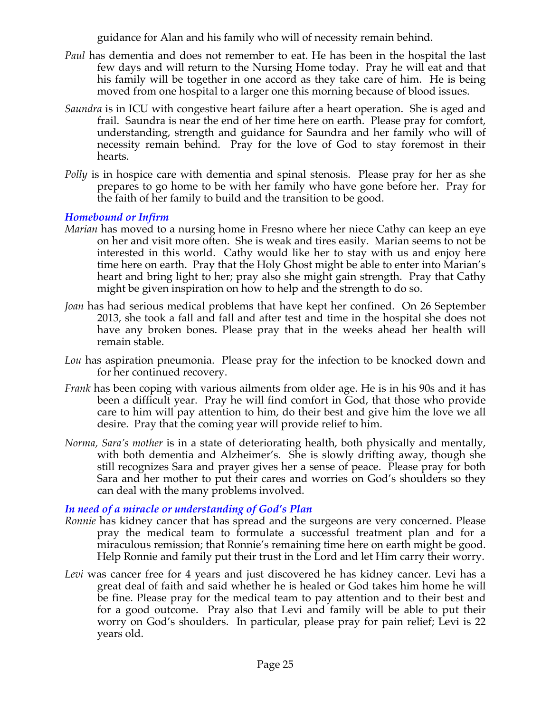guidance for Alan and his family who will of necessity remain behind.

- *Paul* has dementia and does not remember to eat. He has been in the hospital the last few days and will return to the Nursing Home today. Pray he will eat and that his family will be together in one accord as they take care of him. He is being moved from one hospital to a larger one this morning because of blood issues.
- *Saundra* is in ICU with congestive heart failure after a heart operation. She is aged and frail. Saundra is near the end of her time here on earth. Please pray for comfort, understanding, strength and guidance for Saundra and her family who will of necessity remain behind. Pray for the love of God to stay foremost in their hearts.
- *Polly* is in hospice care with dementia and spinal stenosis. Please pray for her as she prepares to go home to be with her family who have gone before her. Pray for the faith of her family to build and the transition to be good.

## *Homebound or Infirm*

- *Marian* has moved to a nursing home in Fresno where her niece Cathy can keep an eye on her and visit more often. She is weak and tires easily. Marian seems to not be interested in this world. Cathy would like her to stay with us and enjoy here time here on earth. Pray that the Holy Ghost might be able to enter into Marian's heart and bring light to her; pray also she might gain strength. Pray that Cathy might be given inspiration on how to help and the strength to do so.
- *Joan* has had serious medical problems that have kept her confined. On 26 September 2013, she took a fall and fall and after test and time in the hospital she does not have any broken bones. Please pray that in the weeks ahead her health will remain stable.
- *Lou* has aspiration pneumonia. Please pray for the infection to be knocked down and for her continued recovery.
- *Frank* has been coping with various ailments from older age. He is in his 90s and it has been a difficult year. Pray he will find comfort in God, that those who provide care to him will pay attention to him, do their best and give him the love we all desire. Pray that the coming year will provide relief to him.
- *Norma, Sara's mother* is in a state of deteriorating health, both physically and mentally, with both dementia and Alzheimer's. She is slowly drifting away, though she still recognizes Sara and prayer gives her a sense of peace. Please pray for both Sara and her mother to put their cares and worries on God's shoulders so they can deal with the many problems involved.

# *In need of a miracle or understanding of God's Plan*

- *Ronnie* has kidney cancer that has spread and the surgeons are very concerned. Please pray the medical team to formulate a successful treatment plan and for a miraculous remission; that Ronnie's remaining time here on earth might be good. Help Ronnie and family put their trust in the Lord and let Him carry their worry.
- Levi was cancer free for 4 years and just discovered he has kidney cancer. Levi has a great deal of faith and said whether he is healed or God takes him home he will be fine. Please pray for the medical team to pay attention and to their best and for a good outcome. Pray also that Levi and family will be able to put their worry on God's shoulders. In particular, please pray for pain relief; Levi is 22 years old.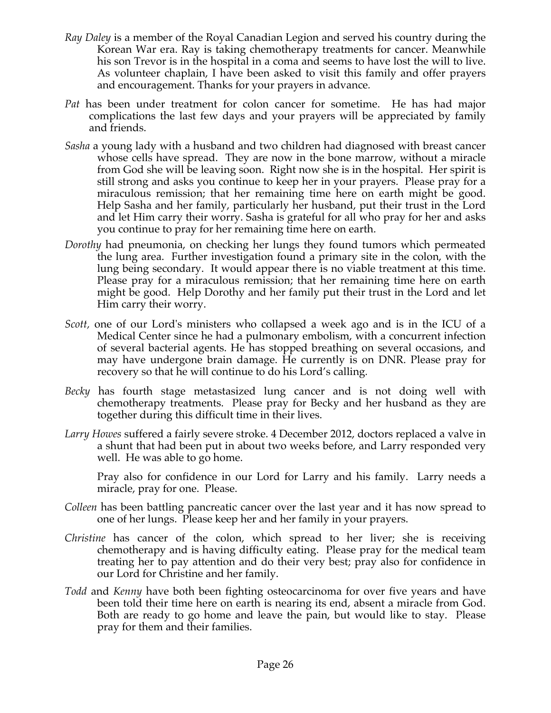- *Ray Daley* is a member of the Royal Canadian Legion and served his country during the Korean War era. Ray is taking chemotherapy treatments for cancer. Meanwhile his son Trevor is in the hospital in a coma and seems to have lost the will to live. As volunteer chaplain, I have been asked to visit this family and offer prayers and encouragement. Thanks for your prayers in advance*.*
- *Pat* has been under treatment for colon cancer for sometime. He has had major complications the last few days and your prayers will be appreciated by family and friends.
- *Sasha* a young lady with a husband and two children had diagnosed with breast cancer whose cells have spread. They are now in the bone marrow, without a miracle from God she will be leaving soon. Right now she is in the hospital. Her spirit is still strong and asks you continue to keep her in your prayers. Please pray for a miraculous remission; that her remaining time here on earth might be good. Help Sasha and her family, particularly her husband, put their trust in the Lord and let Him carry their worry. Sasha is grateful for all who pray for her and asks you continue to pray for her remaining time here on earth.
- *Dorothy* had pneumonia, on checking her lungs they found tumors which permeated the lung area. Further investigation found a primary site in the colon, with the lung being secondary. It would appear there is no viable treatment at this time. Please pray for a miraculous remission; that her remaining time here on earth might be good. Help Dorothy and her family put their trust in the Lord and let Him carry their worry.
- *Scott,* one of our Lord's ministers who collapsed a week ago and is in the ICU of a Medical Center since he had a pulmonary embolism, with a concurrent infection of several bacterial agents. He has stopped breathing on several occasions, and may have undergone brain damage. He currently is on DNR. Please pray for recovery so that he will continue to do his Lord's calling*.*
- *Becky* has fourth stage metastasized lung cancer and is not doing well with chemotherapy treatments. Please pray for Becky and her husband as they are together during this difficult time in their lives.
- *Larry Howes* suffered a fairly severe stroke. 4 December 2012, doctors replaced a valve in a shunt that had been put in about two weeks before, and Larry responded very well. He was able to go home.

Pray also for confidence in our Lord for Larry and his family. Larry needs a miracle, pray for one. Please.

- *Colleen* has been battling pancreatic cancer over the last year and it has now spread to one of her lungs. Please keep her and her family in your prayers.
- *Christine* has cancer of the colon, which spread to her liver; she is receiving chemotherapy and is having difficulty eating. Please pray for the medical team treating her to pay attention and do their very best; pray also for confidence in our Lord for Christine and her family.
- *Todd* and *Kenny* have both been fighting osteocarcinoma for over five years and have been told their time here on earth is nearing its end, absent a miracle from God. Both are ready to go home and leave the pain, but would like to stay. Please pray for them and their families.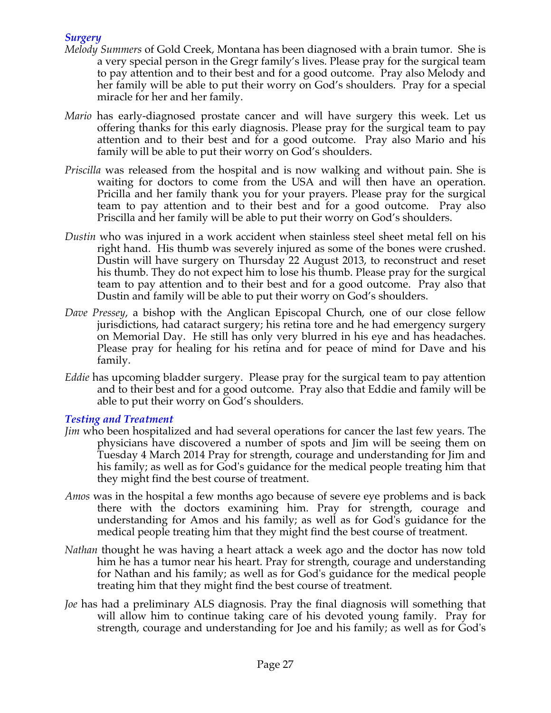# *Surgery*

- *Melody Summers* of Gold Creek, Montana has been diagnosed with a brain tumor. She is a very special person in the Gregr family's lives. Please pray for the surgical team to pay attention and to their best and for a good outcome. Pray also Melody and her family will be able to put their worry on God's shoulders. Pray for a special miracle for her and her family.
- *Mario* has early-diagnosed prostate cancer and will have surgery this week. Let us offering thanks for this early diagnosis. Please pray for the surgical team to pay attention and to their best and for a good outcome. Pray also Mario and his family will be able to put their worry on God's shoulders.
- *Priscilla* was released from the hospital and is now walking and without pain. She is waiting for doctors to come from the USA and will then have an operation. Pricilla and her family thank you for your prayers. Please pray for the surgical team to pay attention and to their best and for a good outcome. Pray also Priscilla and her family will be able to put their worry on God's shoulders.
- *Dustin* who was injured in a work accident when stainless steel sheet metal fell on his right hand. His thumb was severely injured as some of the bones were crushed. Dustin will have surgery on Thursday 22 August 2013, to reconstruct and reset his thumb. They do not expect him to lose his thumb. Please pray for the surgical team to pay attention and to their best and for a good outcome. Pray also that Dustin and family will be able to put their worry on God's shoulders.
- *Dave Pressey*, a bishop with the Anglican Episcopal Church, one of our close fellow jurisdictions, had cataract surgery; his retina tore and he had emergency surgery on Memorial Day. He still has only very blurred in his eye and has headaches. Please pray for healing for his retina and for peace of mind for Dave and his family.
- *Eddie* has upcoming bladder surgery. Please pray for the surgical team to pay attention and to their best and for a good outcome. Pray also that Eddie and family will be able to put their worry on God's shoulders.

## *Testing and Treatment*

- *Jim* who been hospitalized and had several operations for cancer the last few years. The physicians have discovered a number of spots and Jim will be seeing them on Tuesday 4 March 2014 Pray for strength, courage and understanding for Jim and his family; as well as for God's guidance for the medical people treating him that they might find the best course of treatment.
- *Amos* was in the hospital a few months ago because of severe eye problems and is back there with the doctors examining him. Pray for strength, courage and understanding for Amos and his family; as well as for God's guidance for the medical people treating him that they might find the best course of treatment.
- *Nathan* thought he was having a heart attack a week ago and the doctor has now told him he has a tumor near his heart. Pray for strength, courage and understanding for Nathan and his family; as well as for God's guidance for the medical people treating him that they might find the best course of treatment.
- *Joe* has had a preliminary ALS diagnosis. Pray the final diagnosis will something that will allow him to continue taking care of his devoted young family. Pray for strength, courage and understanding for Joe and his family; as well as for God's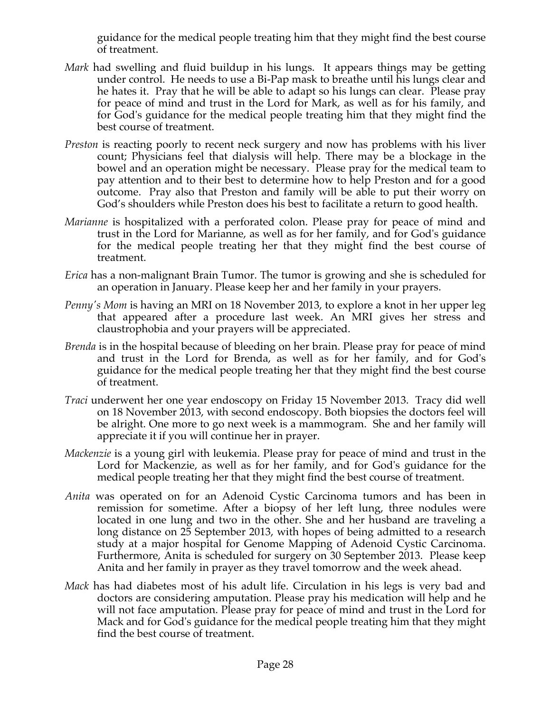guidance for the medical people treating him that they might find the best course of treatment.

- *Mark* had swelling and fluid buildup in his lungs. It appears things may be getting under control. He needs to use a Bi-Pap mask to breathe until his lungs clear and he hates it. Pray that he will be able to adapt so his lungs can clear. Please pray for peace of mind and trust in the Lord for Mark, as well as for his family, and for God's guidance for the medical people treating him that they might find the best course of treatment.
- *Preston* is reacting poorly to recent neck surgery and now has problems with his liver count; Physicians feel that dialysis will help. There may be a blockage in the bowel and an operation might be necessary. Please pray for the medical team to pay attention and to their best to determine how to help Preston and for a good outcome. Pray also that Preston and family will be able to put their worry on God's shoulders while Preston does his best to facilitate a return to good health.
- *Marianne* is hospitalized with a perforated colon. Please pray for peace of mind and trust in the Lord for Marianne, as well as for her family, and for God's guidance for the medical people treating her that they might find the best course of treatment.
- *Erica* has a non-malignant Brain Tumor. The tumor is growing and she is scheduled for an operation in January. Please keep her and her family in your prayers.
- *Penny's Mom is having an MRI on 18 November 2013, to explore a knot in her upper leg* that appeared after a procedure last week. An MRI gives her stress and claustrophobia and your prayers will be appreciated.
- *Brenda* is in the hospital because of bleeding on her brain. Please pray for peace of mind and trust in the Lord for Brenda, as well as for her family, and for God's guidance for the medical people treating her that they might find the best course of treatment.
- *Traci* underwent her one year endoscopy on Friday 15 November 2013. Tracy did well on 18 November 2013, with second endoscopy. Both biopsies the doctors feel will be alright. One more to go next week is a mammogram. She and her family will appreciate it if you will continue her in prayer.
- *Mackenzie* is a young girl with leukemia. Please pray for peace of mind and trust in the Lord for Mackenzie, as well as for her family, and for God's guidance for the medical people treating her that they might find the best course of treatment.
- *Anita* was operated on for an Adenoid Cystic Carcinoma tumors and has been in remission for sometime. After a biopsy of her left lung, three nodules were located in one lung and two in the other. She and her husband are traveling a long distance on 25 September 2013, with hopes of being admitted to a research study at a major hospital for Genome Mapping of Adenoid Cystic Carcinoma. Furthermore, Anita is scheduled for surgery on 30 September 2013. Please keep Anita and her family in prayer as they travel tomorrow and the week ahead.
- *Mack* has had diabetes most of his adult life. Circulation in his legs is very bad and doctors are considering amputation. Please pray his medication will help and he will not face amputation. Please pray for peace of mind and trust in the Lord for Mack and for God's guidance for the medical people treating him that they might find the best course of treatment.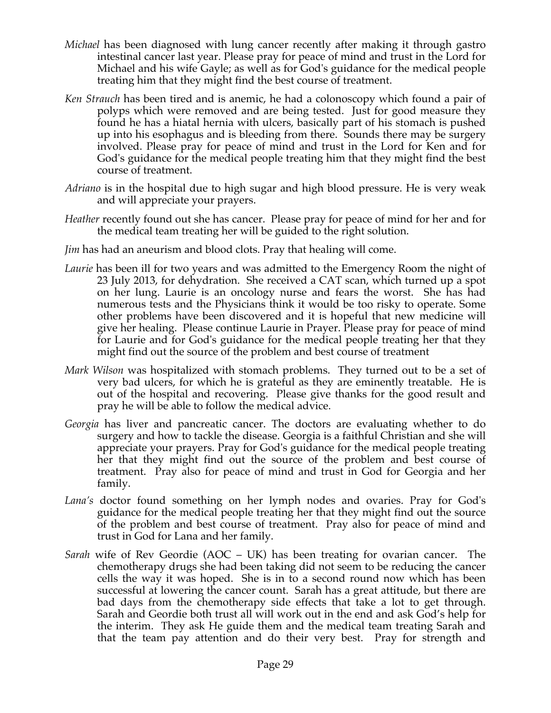- *Michael* has been diagnosed with lung cancer recently after making it through gastro intestinal cancer last year. Please pray for peace of mind and trust in the Lord for Michael and his wife Gayle; as well as for God's guidance for the medical people treating him that they might find the best course of treatment.
- *Ken Strauch* has been tired and is anemic, he had a colonoscopy which found a pair of polyps which were removed and are being tested. Just for good measure they found he has a hiatal hernia with ulcers, basically part of his stomach is pushed up into his esophagus and is bleeding from there. Sounds there may be surgery involved. Please pray for peace of mind and trust in the Lord for Ken and for God's guidance for the medical people treating him that they might find the best course of treatment.
- *Adriano* is in the hospital due to high sugar and high blood pressure. He is very weak and will appreciate your prayers.
- *Heather* recently found out she has cancer. Please pray for peace of mind for her and for the medical team treating her will be guided to the right solution.
- *Jim* has had an aneurism and blood clots. Pray that healing will come.
- *Laurie* has been ill for two years and was admitted to the Emergency Room the night of 23 July 2013, for dehydration. She received a CAT scan, which turned up a spot on her lung. Laurie is an oncology nurse and fears the worst. She has had numerous tests and the Physicians think it would be too risky to operate. Some other problems have been discovered and it is hopeful that new medicine will give her healing. Please continue Laurie in Prayer. Please pray for peace of mind for Laurie and for God's guidance for the medical people treating her that they might find out the source of the problem and best course of treatment
- *Mark Wilson* was hospitalized with stomach problems. They turned out to be a set of very bad ulcers, for which he is grateful as they are eminently treatable. He is out of the hospital and recovering. Please give thanks for the good result and pray he will be able to follow the medical advice.
- *Georgia* has liver and pancreatic cancer. The doctors are evaluating whether to do surgery and how to tackle the disease. Georgia is a faithful Christian and she will appreciate your prayers. Pray for God's guidance for the medical people treating her that they might find out the source of the problem and best course of treatment. Pray also for peace of mind and trust in God for Georgia and her family.
- *Lana's* doctor found something on her lymph nodes and ovaries. Pray for God's guidance for the medical people treating her that they might find out the source of the problem and best course of treatment. Pray also for peace of mind and trust in God for Lana and her family.
- *Sarah* wife of Rev Geordie (AOC UK) has been treating for ovarian cancer. The chemotherapy drugs she had been taking did not seem to be reducing the cancer cells the way it was hoped. She is in to a second round now which has been successful at lowering the cancer count. Sarah has a great attitude, but there are bad days from the chemotherapy side effects that take a lot to get through. Sarah and Geordie both trust all will work out in the end and ask God's help for the interim. They ask He guide them and the medical team treating Sarah and that the team pay attention and do their very best. Pray for strength and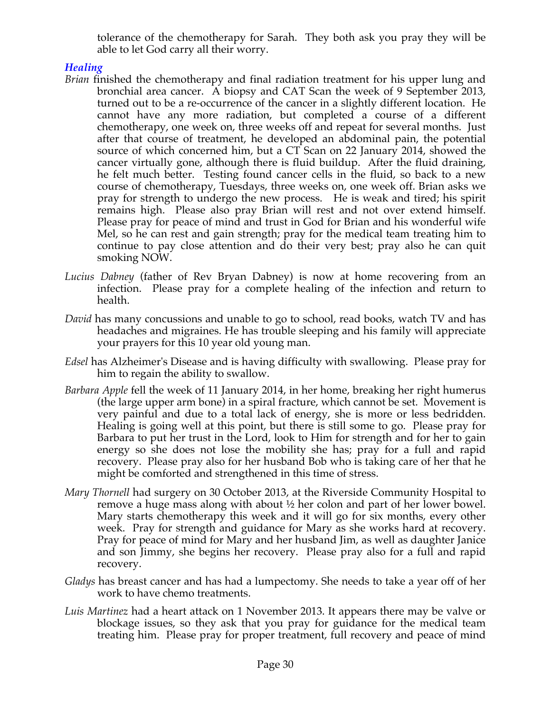tolerance of the chemotherapy for Sarah. They both ask you pray they will be able to let God carry all their worry.

# *Healing*

- *Brian* finished the chemotherapy and final radiation treatment for his upper lung and bronchial area cancer. A biopsy and CAT Scan the week of 9 September 2013, turned out to be a re-occurrence of the cancer in a slightly different location. He cannot have any more radiation, but completed a course of a different chemotherapy, one week on, three weeks off and repeat for several months. Just after that course of treatment, he developed an abdominal pain, the potential source of which concerned him, but a CT Scan on 22 January 2014, showed the cancer virtually gone, although there is fluid buildup. After the fluid draining, he felt much better. Testing found cancer cells in the fluid, so back to a new course of chemotherapy, Tuesdays, three weeks on, one week off. Brian asks we pray for strength to undergo the new process. He is weak and tired; his spirit remains high. Please also pray Brian will rest and not over extend himself. Please pray for peace of mind and trust in God for Brian and his wonderful wife Mel, so he can rest and gain strength; pray for the medical team treating him to continue to pay close attention and do their very best; pray also he can quit smoking NOW.
- *Lucius Dabney* (father of Rev Bryan Dabney) is now at home recovering from an infection. Please pray for a complete healing of the infection and return to health.
- *David* has many concussions and unable to go to school, read books, watch TV and has headaches and migraines. He has trouble sleeping and his family will appreciate your prayers for this 10 year old young man.
- *Edsel* has Alzheimer's Disease and is having difficulty with swallowing. Please pray for him to regain the ability to swallow.
- *Barbara Apple* fell the week of 11 January 2014, in her home, breaking her right humerus (the large upper arm bone) in a spiral fracture, which cannot be set. Movement is very painful and due to a total lack of energy, she is more or less bedridden. Healing is going well at this point, but there is still some to go. Please pray for Barbara to put her trust in the Lord, look to Him for strength and for her to gain energy so she does not lose the mobility she has; pray for a full and rapid recovery. Please pray also for her husband Bob who is taking care of her that he might be comforted and strengthened in this time of stress.
- *Mary Thornell* had surgery on 30 October 2013, at the Riverside Community Hospital to remove a huge mass along with about ½ her colon and part of her lower bowel. Mary starts chemotherapy this week and it will go for six months, every other week. Pray for strength and guidance for Mary as she works hard at recovery. Pray for peace of mind for Mary and her husband Jim, as well as daughter Janice and son Jimmy, she begins her recovery. Please pray also for a full and rapid recovery.
- *Gladys* has breast cancer and has had a lumpectomy. She needs to take a year off of her work to have chemo treatments.
- *Luis Martinez* had a heart attack on 1 November 2013. It appears there may be valve or blockage issues, so they ask that you pray for guidance for the medical team treating him. Please pray for proper treatment, full recovery and peace of mind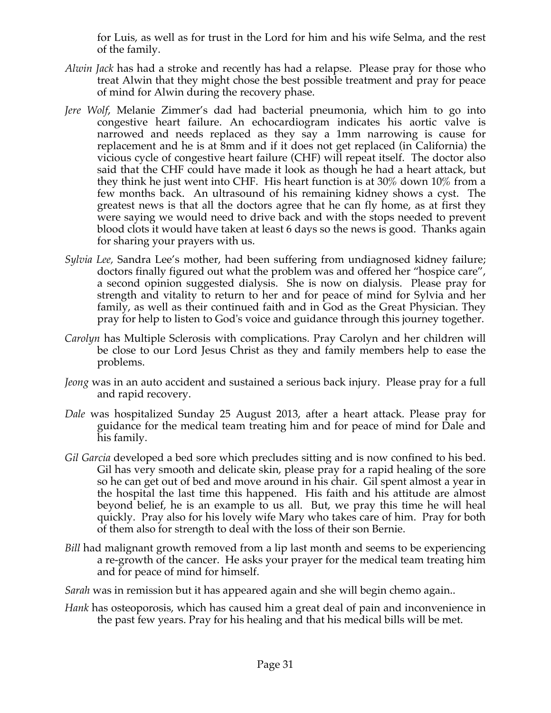for Luis, as well as for trust in the Lord for him and his wife Selma, and the rest of the family.

- *Alwin Jack* has had a stroke and recently has had a relapse. Please pray for those who treat Alwin that they might chose the best possible treatment and pray for peace of mind for Alwin during the recovery phase.
- *Jere Wolf*, Melanie Zimmer's dad had bacterial pneumonia, which him to go into congestive heart failure. An echocardiogram indicates his aortic valve is narrowed and needs replaced as they say a 1mm narrowing is cause for replacement and he is at 8mm and if it does not get replaced (in California) the vicious cycle of congestive heart failure (CHF) will repeat itself. The doctor also said that the CHF could have made it look as though he had a heart attack, but they think he just went into CHF. His heart function is at 30% down 10% from a few months back. An ultrasound of his remaining kidney shows a cyst. The greatest news is that all the doctors agree that he can fly home, as at first they were saying we would need to drive back and with the stops needed to prevent blood clots it would have taken at least 6 days so the news is good. Thanks again for sharing your prayers with us.
- *Sylvia Lee,* Sandra Lee's mother, had been suffering from undiagnosed kidney failure; doctors finally figured out what the problem was and offered her "hospice care", a second opinion suggested dialysis. She is now on dialysis. Please pray for strength and vitality to return to her and for peace of mind for Sylvia and her family, as well as their continued faith and in God as the Great Physician. They pray for help to listen to God's voice and guidance through this journey together.
- *Carolyn* has Multiple Sclerosis with complications. Pray Carolyn and her children will be close to our Lord Jesus Christ as they and family members help to ease the problems.
- *Jeong* was in an auto accident and sustained a serious back injury. Please pray for a full and rapid recovery.
- *Dale* was hospitalized Sunday 25 August 2013, after a heart attack. Please pray for guidance for the medical team treating him and for peace of mind for Dale and his family.
- *Gil Garcia* developed a bed sore which precludes sitting and is now confined to his bed. Gil has very smooth and delicate skin, please pray for a rapid healing of the sore so he can get out of bed and move around in his chair. Gil spent almost a year in the hospital the last time this happened. His faith and his attitude are almost beyond belief, he is an example to us all. But, we pray this time he will heal quickly. Pray also for his lovely wife Mary who takes care of him. Pray for both of them also for strength to deal with the loss of their son Bernie.
- *Bill* had malignant growth removed from a lip last month and seems to be experiencing a re-growth of the cancer. He asks your prayer for the medical team treating him and for peace of mind for himself.

*Sarah* was in remission but it has appeared again and she will begin chemo again..

*Hank* has osteoporosis, which has caused him a great deal of pain and inconvenience in the past few years. Pray for his healing and that his medical bills will be met.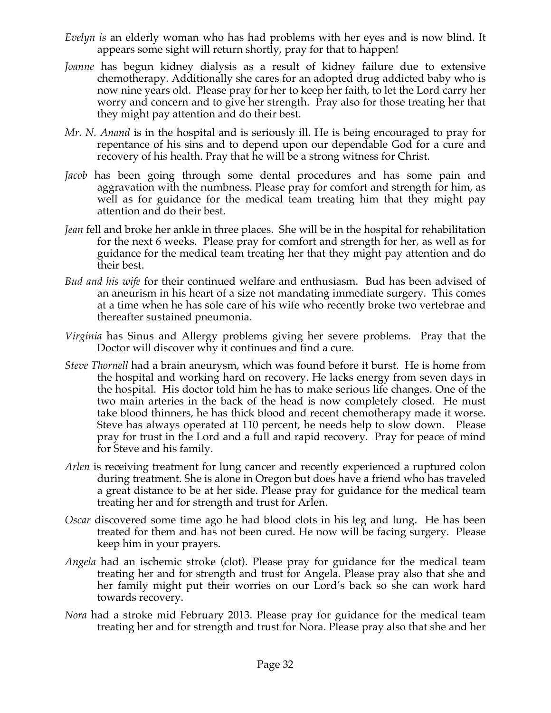- *Evelyn is* an elderly woman who has had problems with her eyes and is now blind. It appears some sight will return shortly, pray for that to happen!
- *Joanne* has begun kidney dialysis as a result of kidney failure due to extensive chemotherapy. Additionally she cares for an adopted drug addicted baby who is now nine years old. Please pray for her to keep her faith, to let the Lord carry her worry and concern and to give her strength. Pray also for those treating her that they might pay attention and do their best.
- *Mr. N. Anand* is in the hospital and is seriously ill. He is being encouraged to pray for repentance of his sins and to depend upon our dependable God for a cure and recovery of his health. Pray that he will be a strong witness for Christ.
- *Jacob* has been going through some dental procedures and has some pain and aggravation with the numbness. Please pray for comfort and strength for him, as well as for guidance for the medical team treating him that they might pay attention and do their best.
- *Jean* fell and broke her ankle in three places. She will be in the hospital for rehabilitation for the next 6 weeks. Please pray for comfort and strength for her, as well as for guidance for the medical team treating her that they might pay attention and do their best.
- *Bud and his wife* for their continued welfare and enthusiasm. Bud has been advised of an aneurism in his heart of a size not mandating immediate surgery. This comes at a time when he has sole care of his wife who recently broke two vertebrae and thereafter sustained pneumonia.
- *Virginia* has Sinus and Allergy problems giving her severe problems. Pray that the Doctor will discover why it continues and find a cure.
- *Steve Thornell* had a brain aneurysm, which was found before it burst. He is home from the hospital and working hard on recovery. He lacks energy from seven days in the hospital. His doctor told him he has to make serious life changes. One of the two main arteries in the back of the head is now completely closed. He must take blood thinners, he has thick blood and recent chemotherapy made it worse. Steve has always operated at 110 percent, he needs help to slow down. Please pray for trust in the Lord and a full and rapid recovery. Pray for peace of mind for Steve and his family.
- *Arlen* is receiving treatment for lung cancer and recently experienced a ruptured colon during treatment. She is alone in Oregon but does have a friend who has traveled a great distance to be at her side. Please pray for guidance for the medical team treating her and for strength and trust for Arlen.
- *Oscar* discovered some time ago he had blood clots in his leg and lung. He has been treated for them and has not been cured. He now will be facing surgery. Please keep him in your prayers.
- *Angela* had an ischemic stroke (clot). Please pray for guidance for the medical team treating her and for strength and trust for Angela. Please pray also that she and her family might put their worries on our Lord's back so she can work hard towards recovery.
- *Nora* had a stroke mid February 2013. Please pray for guidance for the medical team treating her and for strength and trust for Nora. Please pray also that she and her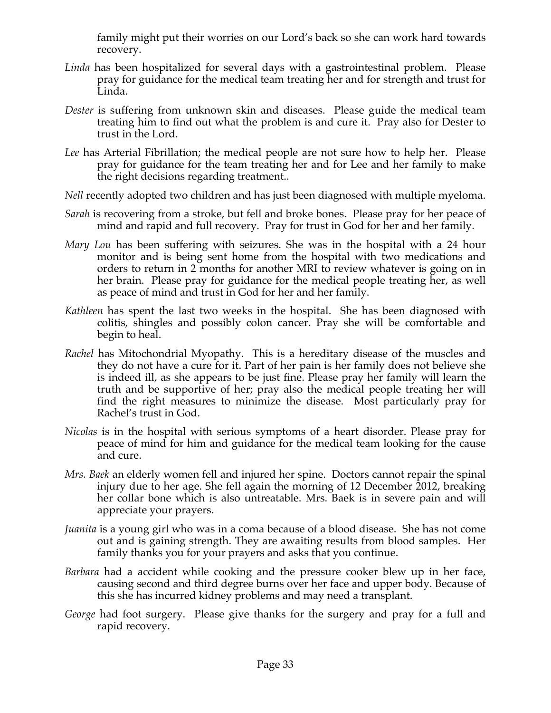family might put their worries on our Lord's back so she can work hard towards recovery.

- *Linda* has been hospitalized for several days with a gastrointestinal problem. Please pray for guidance for the medical team treating her and for strength and trust for Linda.
- *Dester* is suffering from unknown skin and diseases. Please guide the medical team treating him to find out what the problem is and cure it. Pray also for Dester to trust in the Lord.
- *Lee* has Arterial Fibrillation; the medical people are not sure how to help her. Please pray for guidance for the team treating her and for Lee and her family to make the right decisions regarding treatment..
- *Nell* recently adopted two children and has just been diagnosed with multiple myeloma.
- *Sarah* is recovering from a stroke, but fell and broke bones. Please pray for her peace of mind and rapid and full recovery. Pray for trust in God for her and her family.
- *Mary Lou* has been suffering with seizures. She was in the hospital with a 24 hour monitor and is being sent home from the hospital with two medications and orders to return in 2 months for another MRI to review whatever is going on in her brain. Please pray for guidance for the medical people treating her, as well as peace of mind and trust in God for her and her family.
- *Kathleen* has spent the last two weeks in the hospital. She has been diagnosed with colitis, shingles and possibly colon cancer. Pray she will be comfortable and begin to heal.
- *Rachel* has Mitochondrial Myopathy. This is a hereditary disease of the muscles and they do not have a cure for it. Part of her pain is her family does not believe she is indeed ill, as she appears to be just fine. Please pray her family will learn the truth and be supportive of her; pray also the medical people treating her will find the right measures to minimize the disease. Most particularly pray for Rachel's trust in God.
- *Nicolas* is in the hospital with serious symptoms of a heart disorder. Please pray for peace of mind for him and guidance for the medical team looking for the cause and cure.
- *Mrs. Baek* an elderly women fell and injured her spine. Doctors cannot repair the spinal injury due to her age. She fell again the morning of 12 December 2012, breaking her collar bone which is also untreatable. Mrs. Baek is in severe pain and will appreciate your prayers.
- *Juanita* is a young girl who was in a coma because of a blood disease. She has not come out and is gaining strength. They are awaiting results from blood samples. Her family thanks you for your prayers and asks that you continue.
- *Barbara* had a accident while cooking and the pressure cooker blew up in her face, causing second and third degree burns over her face and upper body. Because of this she has incurred kidney problems and may need a transplant.
- *George* had foot surgery. Please give thanks for the surgery and pray for a full and rapid recovery.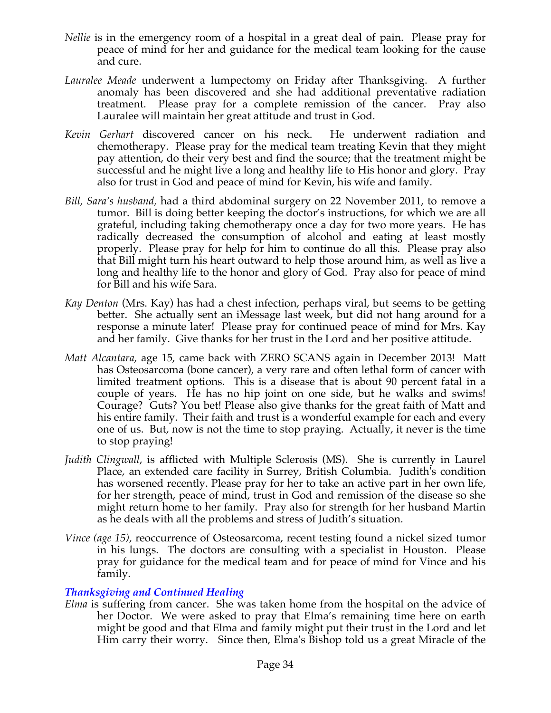- *Nellie* is in the emergency room of a hospital in a great deal of pain. Please pray for peace of mind for her and guidance for the medical team looking for the cause and cure.
- *Lauralee Meade* underwent a lumpectomy on Friday after Thanksgiving. A further anomaly has been discovered and she had additional preventative radiation treatment. Please pray for a complete remission of the cancer. Pray also Lauralee will maintain her great attitude and trust in God.
- *Kevin Gerhart* discovered cancer on his neck. He underwent radiation and chemotherapy. Please pray for the medical team treating Kevin that they might pay attention, do their very best and find the source; that the treatment might be successful and he might live a long and healthy life to His honor and glory. Pray also for trust in God and peace of mind for Kevin, his wife and family.
- *Bill, Sara's husband,* had a third abdominal surgery on 22 November 2011, to remove a tumor. Bill is doing better keeping the doctor's instructions, for which we are all grateful, including taking chemotherapy once a day for two more years. He has radically decreased the consumption of alcohol and eating at least mostly properly. Please pray for help for him to continue do all this. Please pray also that Bill might turn his heart outward to help those around him, as well as live a long and healthy life to the honor and glory of God. Pray also for peace of mind for Bill and his wife Sara.
- *Kay Denton* (Mrs. Kay) has had a chest infection, perhaps viral, but seems to be getting better. She actually sent an iMessage last week, but did not hang around for a response a minute later! Please pray for continued peace of mind for Mrs. Kay and her family. Give thanks for her trust in the Lord and her positive attitude.
- *Matt Alcantara*, age 15, came back with ZERO SCANS again in December 2013! Matt has Osteosarcoma (bone cancer), a very rare and often lethal form of cancer with limited treatment options. This is a disease that is about 90 percent fatal in a couple of years. He has no hip joint on one side, but he walks and swims! Courage? Guts? You bet! Please also give thanks for the great faith of Matt and his entire family. Their faith and trust is a wonderful example for each and every one of us. But, now is not the time to stop praying. Actually, it never is the time to stop praying!
- *Judith Clingwall*, is afflicted with Multiple Sclerosis (MS). She is currently in Laurel Place, an extended care facility in Surrey, British Columbia. Judith's condition has worsened recently. Please pray for her to take an active part in her own life, for her strength, peace of mind, trust in God and remission of the disease so she might return home to her family. Pray also for strength for her husband Martin as he deals with all the problems and stress of Judith's situation.
- *Vince (age 15),* reoccurrence of Osteosarcoma, recent testing found a nickel sized tumor in his lungs. The doctors are consulting with a specialist in Houston. Please pray for guidance for the medical team and for peace of mind for Vince and his family.

## *Thanksgiving and Continued Healing*

*Elma* is suffering from cancer. She was taken home from the hospital on the advice of her Doctor. We were asked to pray that Elma's remaining time here on earth might be good and that Elma and family might put their trust in the Lord and let Him carry their worry. Since then, Elma's Bishop told us a great Miracle of the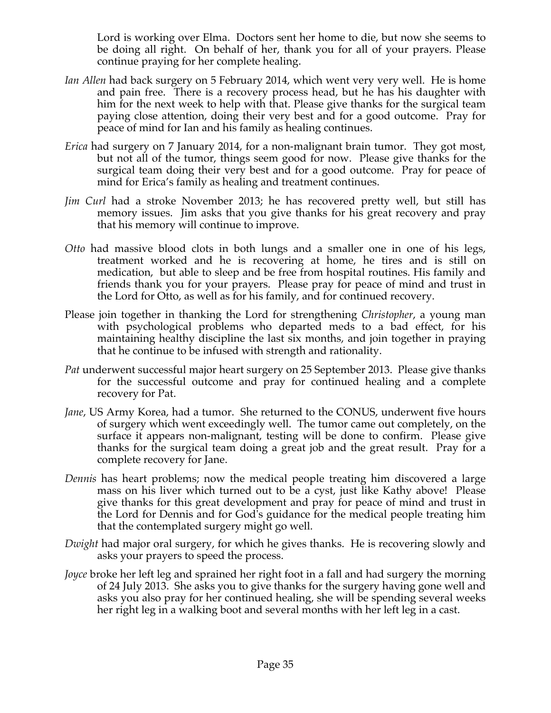Lord is working over Elma. Doctors sent her home to die, but now she seems to be doing all right. On behalf of her, thank you for all of your prayers. Please continue praying for her complete healing.

- *Ian Allen* had back surgery on 5 February 2014, which went very very well. He is home and pain free. There is a recovery process head, but he has his daughter with him for the next week to help with that. Please give thanks for the surgical team paying close attention, doing their very best and for a good outcome. Pray for peace of mind for Ian and his family as healing continues.
- *Erica* had surgery on 7 January 2014, for a non-malignant brain tumor. They got most, but not all of the tumor, things seem good for now. Please give thanks for the surgical team doing their very best and for a good outcome. Pray for peace of mind for Erica's family as healing and treatment continues.
- *Jim Curl* had a stroke November 2013; he has recovered pretty well, but still has memory issues. Jim asks that you give thanks for his great recovery and pray that his memory will continue to improve.
- *Otto* had massive blood clots in both lungs and a smaller one in one of his legs, treatment worked and he is recovering at home, he tires and is still on medication, but able to sleep and be free from hospital routines. His family and friends thank you for your prayers. Please pray for peace of mind and trust in the Lord for Otto, as well as for his family, and for continued recovery.
- Please join together in thanking the Lord for strengthening *Christopher*, a young man with psychological problems who departed meds to a bad effect, for his maintaining healthy discipline the last six months, and join together in praying that he continue to be infused with strength and rationality.
- *Pat* underwent successful major heart surgery on 25 September 2013. Please give thanks for the successful outcome and pray for continued healing and a complete recovery for Pat.
- *Jane*, US Army Korea, had a tumor. She returned to the CONUS, underwent five hours of surgery which went exceedingly well. The tumor came out completely, on the surface it appears non-malignant, testing will be done to confirm. Please give thanks for the surgical team doing a great job and the great result. Pray for a complete recovery for Jane.
- *Dennis* has heart problems; now the medical people treating him discovered a large mass on his liver which turned out to be a cyst, just like Kathy above! Please give thanks for this great development and pray for peace of mind and trust in the Lord for Dennis and for God's guidance for the medical people treating him that the contemplated surgery might go well.
- *Dwight* had major oral surgery, for which he gives thanks. He is recovering slowly and asks your prayers to speed the process.
- *Joyce* broke her left leg and sprained her right foot in a fall and had surgery the morning of 24 July 2013. She asks you to give thanks for the surgery having gone well and asks you also pray for her continued healing, she will be spending several weeks her right leg in a walking boot and several months with her left leg in a cast.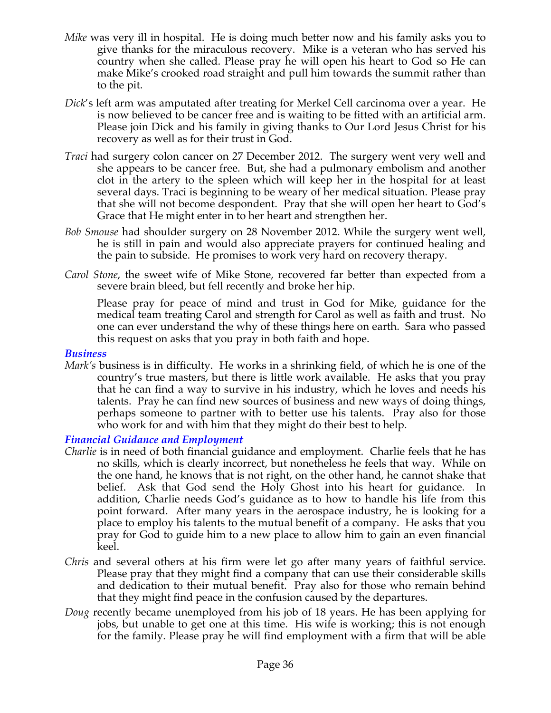- *Mike* was very ill in hospital. He is doing much better now and his family asks you to give thanks for the miraculous recovery. Mike is a veteran who has served his country when she called. Please pray he will open his heart to God so He can make Mike's crooked road straight and pull him towards the summit rather than to the pit.
- *Dick*'s left arm was amputated after treating for Merkel Cell carcinoma over a year. He is now believed to be cancer free and is waiting to be fitted with an artificial arm. Please join Dick and his family in giving thanks to Our Lord Jesus Christ for his recovery as well as for their trust in God.
- *Traci* had surgery colon cancer on 27 December 2012. The surgery went very well and she appears to be cancer free. But, she had a pulmonary embolism and another clot in the artery to the spleen which will keep her in the hospital for at least several days. Traci is beginning to be weary of her medical situation. Please pray that she will not become despondent. Pray that she will open her heart to God's Grace that He might enter in to her heart and strengthen her.
- *Bob Smouse* had shoulder surgery on 28 November 2012. While the surgery went well, he is still in pain and would also appreciate prayers for continued healing and the pain to subside. He promises to work very hard on recovery therapy.
- *Carol Stone*, the sweet wife of Mike Stone, recovered far better than expected from a severe brain bleed, but fell recently and broke her hip.

Please pray for peace of mind and trust in God for Mike, guidance for the medical team treating Carol and strength for Carol as well as faith and trust. No one can ever understand the why of these things here on earth. Sara who passed this request on asks that you pray in both faith and hope.

#### *Business*

*Mark's* business is in difficulty. He works in a shrinking field, of which he is one of the country's true masters, but there is little work available. He asks that you pray that he can find a way to survive in his industry, which he loves and needs his talents. Pray he can find new sources of business and new ways of doing things, perhaps someone to partner with to better use his talents. Pray also for those who work for and with him that they might do their best to help.

*Financial Guidance and Employment*

- *Charlie* is in need of both financial guidance and employment. Charlie feels that he has no skills, which is clearly incorrect, but nonetheless he feels that way. While on the one hand, he knows that is not right, on the other hand, he cannot shake that belief. Ask that God send the Holy Ghost into his heart for guidance. In addition, Charlie needs God's guidance as to how to handle his life from this point forward. After many years in the aerospace industry, he is looking for a place to employ his talents to the mutual benefit of a company. He asks that you pray for God to guide him to a new place to allow him to gain an even financial keel.
- *Chris* and several others at his firm were let go after many years of faithful service. Please pray that they might find a company that can use their considerable skills and dedication to their mutual benefit. Pray also for those who remain behind that they might find peace in the confusion caused by the departures.
- *Doug* recently became unemployed from his job of 18 years. He has been applying for jobs, but unable to get one at this time. His wife is working; this is not enough for the family. Please pray he will find employment with a firm that will be able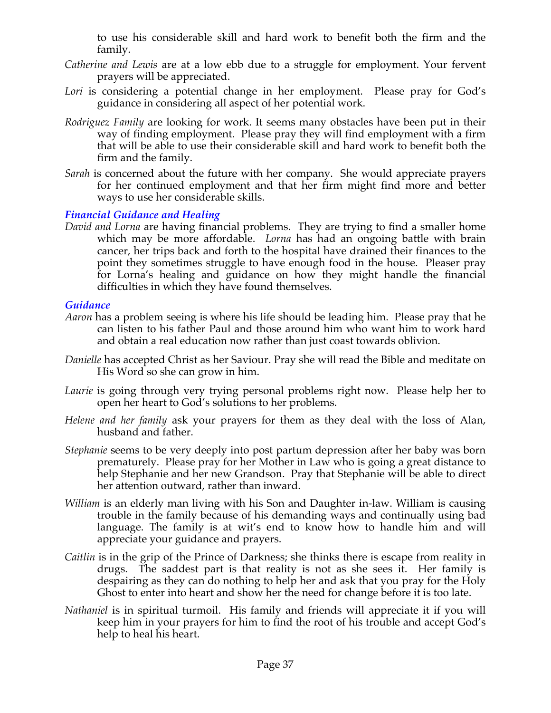to use his considerable skill and hard work to benefit both the firm and the family.

- *Catherine and Lewis* are at a low ebb due to a struggle for employment. Your fervent prayers will be appreciated.
- Lori is considering a potential change in her employment. Please pray for God's guidance in considering all aspect of her potential work.
- *Rodriguez Family* are looking for work. It seems many obstacles have been put in their way of finding employment. Please pray they will find employment with a firm that will be able to use their considerable skill and hard work to benefit both the firm and the family.
- *Sarah* is concerned about the future with her company. She would appreciate prayers for her continued employment and that her firm might find more and better ways to use her considerable skills.

## *Financial Guidance and Healing*

*David and Lorna* are having financial problems. They are trying to find a smaller home which may be more affordable. *Lorna* has had an ongoing battle with brain cancer, her trips back and forth to the hospital have drained their finances to the point they sometimes struggle to have enough food in the house. Pleaser pray for Lorna's healing and guidance on how they might handle the financial difficulties in which they have found themselves.

## *Guidance*

- *Aaron* has a problem seeing is where his life should be leading him. Please pray that he can listen to his father Paul and those around him who want him to work hard and obtain a real education now rather than just coast towards oblivion.
- *Danielle* has accepted Christ as her Saviour. Pray she will read the Bible and meditate on His Word so she can grow in him.
- *Laurie* is going through very trying personal problems right now. Please help her to open her heart to God's solutions to her problems.
- *Helene and her family* ask your prayers for them as they deal with the loss of Alan, husband and father.
- *Stephanie* seems to be very deeply into post partum depression after her baby was born prematurely. Please pray for her Mother in Law who is going a great distance to help Stephanie and her new Grandson. Pray that Stephanie will be able to direct her attention outward, rather than inward.
- *William* is an elderly man living with his Son and Daughter in-law. William is causing trouble in the family because of his demanding ways and continually using bad language. The family is at wit's end to know how to handle him and will appreciate your guidance and prayers.
- *Caitlin* is in the grip of the Prince of Darkness; she thinks there is escape from reality in drugs. The saddest part is that reality is not as she sees it. Her family is despairing as they can do nothing to help her and ask that you pray for the Holy Ghost to enter into heart and show her the need for change before it is too late.
- *Nathaniel* is in spiritual turmoil. His family and friends will appreciate it if you will keep him in your prayers for him to find the root of his trouble and accept God's help to heal his heart.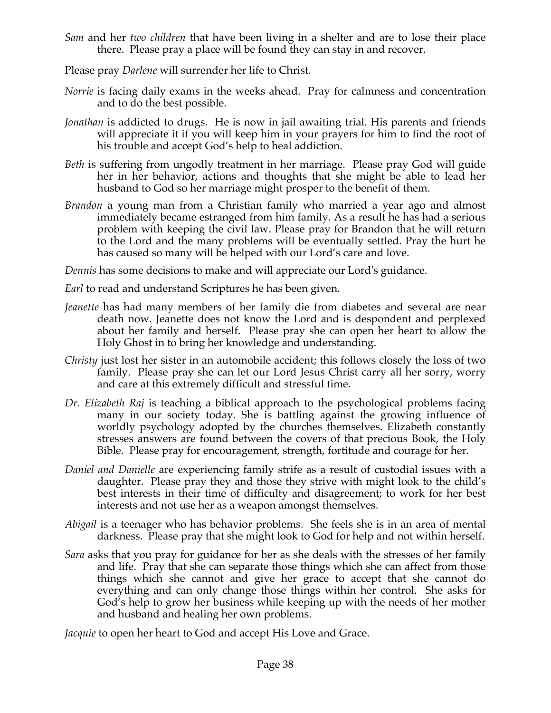- *Sam* and her *two children* that have been living in a shelter and are to lose their place there. Please pray a place will be found they can stay in and recover.
- Please pray *Darlene* will surrender her life to Christ.
- *Norrie* is facing daily exams in the weeks ahead. Pray for calmness and concentration and to do the best possible.
- *Jonathan* is addicted to drugs. He is now in jail awaiting trial. His parents and friends will appreciate it if you will keep him in your prayers for him to find the root of his trouble and accept God's help to heal addiction.
- *Beth* is suffering from ungodly treatment in her marriage. Please pray God will guide her in her behavior, actions and thoughts that she might be able to lead her husband to God so her marriage might prosper to the benefit of them.
- *Brandon* a young man from a Christian family who married a year ago and almost immediately became estranged from him family. As a result he has had a serious problem with keeping the civil law. Please pray for Brandon that he will return to the Lord and the many problems will be eventually settled. Pray the hurt he has caused so many will be helped with our Lord's care and love.

*Dennis* has some decisions to make and will appreciate our Lord's guidance.

*Earl* to read and understand Scriptures he has been given.

- *Jeanette* has had many members of her family die from diabetes and several are near death now. Jeanette does not know the Lord and is despondent and perplexed about her family and herself. Please pray she can open her heart to allow the Holy Ghost in to bring her knowledge and understanding.
- *Christy* just lost her sister in an automobile accident; this follows closely the loss of two family. Please pray she can let our Lord Jesus Christ carry all her sorry, worry and care at this extremely difficult and stressful time.
- *Dr. Elizabeth Raj* is teaching a biblical approach to the psychological problems facing many in our society today. She is battling against the growing influence of worldly psychology adopted by the churches themselves. Elizabeth constantly stresses answers are found between the covers of that precious Book, the Holy Bible. Please pray for encouragement, strength, fortitude and courage for her.
- *Daniel and Danielle* are experiencing family strife as a result of custodial issues with a daughter. Please pray they and those they strive with might look to the child's best interests in their time of difficulty and disagreement; to work for her best interests and not use her as a weapon amongst themselves.
- *Abigail* is a teenager who has behavior problems. She feels she is in an area of mental darkness. Please pray that she might look to God for help and not within herself.
- *Sara* asks that you pray for guidance for her as she deals with the stresses of her family and life. Pray that she can separate those things which she can affect from those things which she cannot and give her grace to accept that she cannot do everything and can only change those things within her control. She asks for God's help to grow her business while keeping up with the needs of her mother and husband and healing her own problems.

*Jacquie* to open her heart to God and accept His Love and Grace.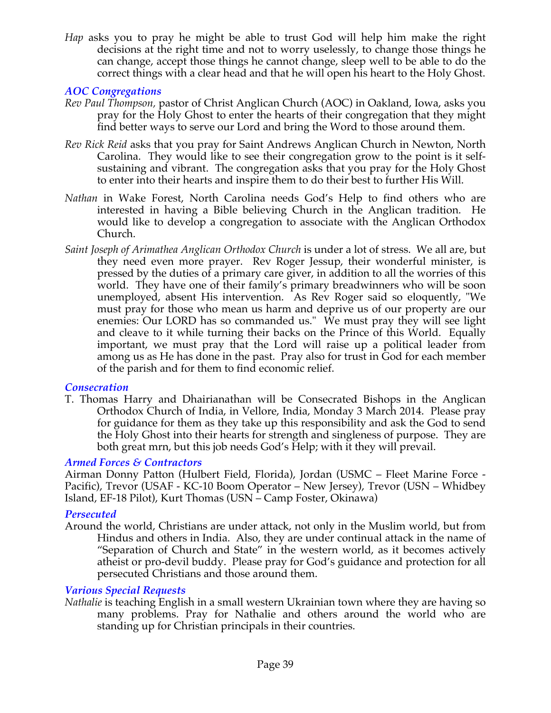*Hap* asks you to pray he might be able to trust God will help him make the right decisions at the right time and not to worry uselessly, to change those things he can change, accept those things he cannot change, sleep well to be able to do the correct things with a clear head and that he will open his heart to the Holy Ghost.

# *AOC Congregations*

- *Rev Paul Thompson,* pastor of Christ Anglican Church (AOC) in Oakland, Iowa, asks you pray for the Holy Ghost to enter the hearts of their congregation that they might find better ways to serve our Lord and bring the Word to those around them.
- *Rev Rick Reid* asks that you pray for Saint Andrews Anglican Church in Newton, North Carolina. They would like to see their congregation grow to the point is it selfsustaining and vibrant. The congregation asks that you pray for the Holy Ghost to enter into their hearts and inspire them to do their best to further His Will.
- *Nathan* in Wake Forest, North Carolina needs God's Help to find others who are interested in having a Bible believing Church in the Anglican tradition. He would like to develop a congregation to associate with the Anglican Orthodox Church.
- *Saint Joseph of Arimathea Anglican Orthodox Church* is under a lot of stress. We all are, but they need even more prayer. Rev Roger Jessup, their wonderful minister, is pressed by the duties of a primary care giver, in addition to all the worries of this world. They have one of their family's primary breadwinners who will be soon unemployed, absent His intervention. As Rev Roger said so eloquently, "We must pray for those who mean us harm and deprive us of our property are our enemies: Our LORD has so commanded us." We must pray they will see light and cleave to it while turning their backs on the Prince of this World. Equally important, we must pray that the Lord will raise up a political leader from among us as He has done in the past. Pray also for trust in God for each member of the parish and for them to find economic relief.

## *Consecration*

T. Thomas Harry and Dhairianathan will be Consecrated Bishops in the Anglican Orthodox Church of India, in Vellore, India, Monday 3 March 2014. Please pray for guidance for them as they take up this responsibility and ask the God to send the Holy Ghost into their hearts for strength and singleness of purpose. They are both great mrn, but this job needs God's Help; with it they will prevail.

## *Armed Forces & Contractors*

Airman Donny Patton (Hulbert Field, Florida), Jordan (USMC – Fleet Marine Force - Pacific), Trevor (USAF - KC-10 Boom Operator – New Jersey), Trevor (USN – Whidbey Island, EF-18 Pilot), Kurt Thomas (USN – Camp Foster, Okinawa)

## *Persecuted*

Around the world, Christians are under attack, not only in the Muslim world, but from Hindus and others in India. Also, they are under continual attack in the name of "Separation of Church and State" in the western world, as it becomes actively atheist or pro-devil buddy. Please pray for God's guidance and protection for all persecuted Christians and those around them.

## *Various Special Requests*

*Nathalie* is teaching English in a small western Ukrainian town where they are having so many problems. Pray for Nathalie and others around the world who are standing up for Christian principals in their countries.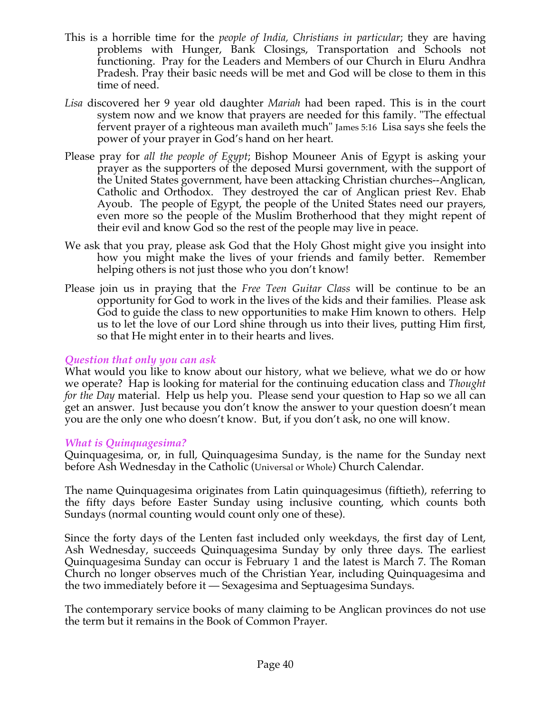- This is a horrible time for the *people of India, Christians in particular*; they are having problems with Hunger, Bank Closings, Transportation and Schools not functioning. Pray for the Leaders and Members of our Church in Eluru Andhra Pradesh. Pray their basic needs will be met and God will be close to them in this time of need.
- *Lisa* discovered her 9 year old daughter *Mariah* had been raped. This is in the court system now and we know that prayers are needed for this family. "The effectual fervent prayer of a righteous man availeth much" James 5:16 Lisa says she feels the power of your prayer in God's hand on her heart.
- Please pray for *all the people of Egypt*; Bishop Mouneer Anis of Egypt is asking your prayer as the supporters of the deposed Mursi government, with the support of the United States government, have been attacking Christian churches--Anglican, Catholic and Orthodox. They destroyed the car of Anglican priest Rev. Ehab Ayoub. The people of Egypt, the people of the United States need our prayers, even more so the people of the Muslim Brotherhood that they might repent of their evil and know God so the rest of the people may live in peace.
- We ask that you pray, please ask God that the Holy Ghost might give you insight into how you might make the lives of your friends and family better. Remember helping others is not just those who you don't know!
- Please join us in praying that the *Free Teen Guitar Class* will be continue to be an opportunity for God to work in the lives of the kids and their families. Please ask God to guide the class to new opportunities to make Him known to others. Help us to let the love of our Lord shine through us into their lives, putting Him first, so that He might enter in to their hearts and lives.

## *Question that only you can ask*

What would you like to know about our history, what we believe, what we do or how we operate? Hap is looking for material for the continuing education class and *Thought for the Day* material. Help us help you. Please send your question to Hap so we all can get an answer. Just because you don't know the answer to your question doesn't mean you are the only one who doesn't know. But, if you don't ask, no one will know.

## *What is Quinquagesima?*

Quinquagesima, or, in full, Quinquagesima Sunday, is the name for the Sunday next before Ash Wednesday in the Catholic (Universal or Whole) Church Calendar.

The name Quinquagesima originates from Latin quinquagesimus (fiftieth), referring to the fifty days before Easter Sunday using inclusive counting, which counts both Sundays (normal counting would count only one of these).

Since the forty days of the Lenten fast included only weekdays, the first day of Lent, Ash Wednesday, succeeds Quinquagesima Sunday by only three days. The earliest Quinquagesima Sunday can occur is February 1 and the latest is March 7. The Roman Church no longer observes much of the Christian Year, including Quinquagesima and the two immediately before it — Sexagesima and Septuagesima Sundays.

The contemporary service books of many claiming to be Anglican provinces do not use the term but it remains in the Book of Common Prayer.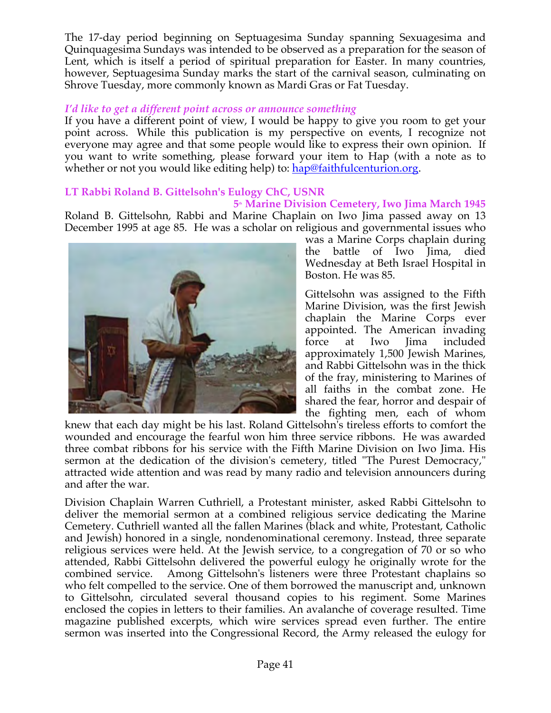The 17-day period beginning on Septuagesima Sunday spanning Sexuagesima and Quinquagesima Sundays was intended to be observed as a preparation for the season of Lent, which is itself a period of spiritual preparation for Easter. In many countries, however, Septuagesima Sunday marks the start of the carnival season, culminating on Shrove Tuesday, more commonly known as Mardi Gras or Fat Tuesday.

# *I'd like to get a different point across or announce something*

If you have a different point of view, I would be happy to give you room to get your point across. While this publication is my perspective on events, I recognize not everyone may agree and that some people would like to express their own opinion. If you want to write something, please forward your item to Hap (with a note as to whether or not you would like editing help) to: hap@faithfulcenturion.org.

# **LT Rabbi Roland B. Gittelsohn's Eulogy ChC, USNR**

**5th Marine Division Cemetery, Iwo Jima March 1945** Roland B. Gittelsohn, Rabbi and Marine Chaplain on Iwo Jima passed away on 13 December 1995 at age 85. He was a scholar on religious and governmental issues who



was a Marine Corps chaplain during the battle of Iwo Jima, died Wednesday at Beth Israel Hospital in Boston. He was 85.

Gittelsohn was assigned to the Fifth Marine Division, was the first Jewish chaplain the Marine Corps ever appointed. The American invading force at Iwo Jima included approximately 1,500 Jewish Marines, and Rabbi Gittelsohn was in the thick of the fray, ministering to Marines of all faiths in the combat zone. He shared the fear, horror and despair of the fighting men, each of whom

knew that each day might be his last. Roland Gittelsohn's tireless efforts to comfort the wounded and encourage the fearful won him three service ribbons. He was awarded three combat ribbons for his service with the Fifth Marine Division on Iwo Jima. His sermon at the dedication of the division's cemetery, titled "The Purest Democracy," attracted wide attention and was read by many radio and television announcers during and after the war.

Division Chaplain Warren Cuthriell, a Protestant minister, asked Rabbi Gittelsohn to deliver the memorial sermon at a combined religious service dedicating the Marine Cemetery. Cuthriell wanted all the fallen Marines (black and white, Protestant, Catholic and Jewish) honored in a single, nondenominational ceremony. Instead, three separate religious services were held. At the Jewish service, to a congregation of 70 or so who attended, Rabbi Gittelsohn delivered the powerful eulogy he originally wrote for the combined service. Among Gittelsohn's listeners were three Protestant chaplains so who felt compelled to the service. One of them borrowed the manuscript and, unknown to Gittelsohn, circulated several thousand copies to his regiment. Some Marines enclosed the copies in letters to their families. An avalanche of coverage resulted. Time magazine published excerpts, which wire services spread even further. The entire sermon was inserted into the Congressional Record, the Army released the eulogy for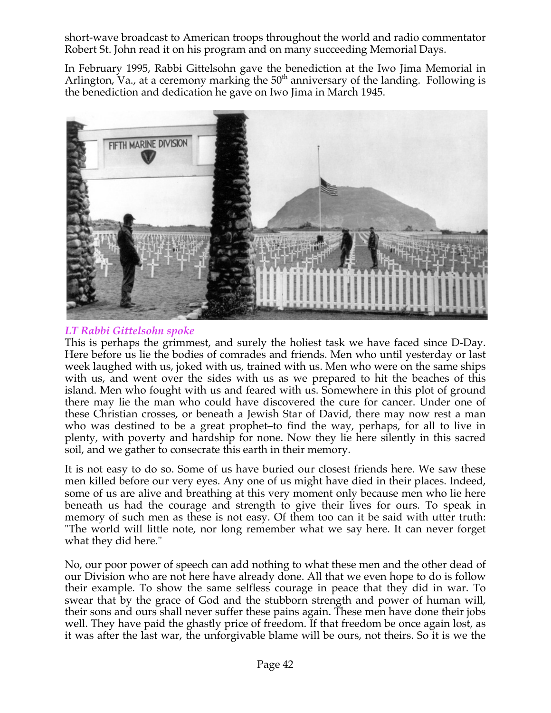short-wave broadcast to American troops throughout the world and radio commentator Robert St. John read it on his program and on many succeeding Memorial Days.

In February 1995, Rabbi Gittelsohn gave the benediction at the Iwo Jima Memorial in Arlington, Va., at a ceremony marking the  $50<sup>th</sup>$  anniversary of the landing. Following is the benediction and dedication he gave on Iwo Jima in March 1945.



## *LT Rabbi Gittelsohn spoke*

This is perhaps the grimmest, and surely the holiest task we have faced since D-Day. Here before us lie the bodies of comrades and friends. Men who until yesterday or last week laughed with us, joked with us, trained with us. Men who were on the same ships with us, and went over the sides with us as we prepared to hit the beaches of this island. Men who fought with us and feared with us. Somewhere in this plot of ground there may lie the man who could have discovered the cure for cancer. Under one of these Christian crosses, or beneath a Jewish Star of David, there may now rest a man who was destined to be a great prophet–to find the way, perhaps, for all to live in plenty, with poverty and hardship for none. Now they lie here silently in this sacred soil, and we gather to consecrate this earth in their memory.

It is not easy to do so. Some of us have buried our closest friends here. We saw these men killed before our very eyes. Any one of us might have died in their places. Indeed, some of us are alive and breathing at this very moment only because men who lie here beneath us had the courage and strength to give their lives for ours. To speak in memory of such men as these is not easy. Of them too can it be said with utter truth: "The world will little note, nor long remember what we say here. It can never forget what they did here."

No, our poor power of speech can add nothing to what these men and the other dead of our Division who are not here have already done. All that we even hope to do is follow their example. To show the same selfless courage in peace that they did in war. To swear that by the grace of God and the stubborn strength and power of human will, their sons and ours shall never suffer these pains again. These men have done their jobs well. They have paid the ghastly price of freedom. If that freedom be once again lost, as it was after the last war, the unforgivable blame will be ours, not theirs. So it is we the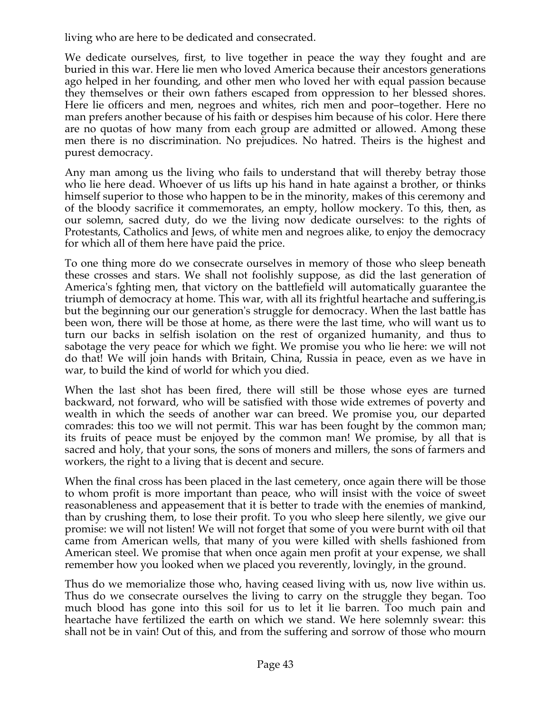living who are here to be dedicated and consecrated.

We dedicate ourselves, first, to live together in peace the way they fought and are buried in this war. Here lie men who loved America because their ancestors generations ago helped in her founding, and other men who loved her with equal passion because they themselves or their own fathers escaped from oppression to her blessed shores. Here lie officers and men, negroes and whites, rich men and poor–together. Here no man prefers another because of his faith or despises him because of his color. Here there are no quotas of how many from each group are admitted or allowed. Among these men there is no discrimination. No prejudices. No hatred. Theirs is the highest and purest democracy.

Any man among us the living who fails to understand that will thereby betray those who lie here dead. Whoever of us lifts up his hand in hate against a brother, or thinks himself superior to those who happen to be in the minority, makes of this ceremony and of the bloody sacrifice it commemorates, an empty, hollow mockery. To this, then, as our solemn, sacred duty, do we the living now dedicate ourselves: to the rights of Protestants, Catholics and Jews, of white men and negroes alike, to enjoy the democracy for which all of them here have paid the price.

To one thing more do we consecrate ourselves in memory of those who sleep beneath these crosses and stars. We shall not foolishly suppose, as did the last generation of America's fghting men, that victory on the battlefield will automatically guarantee the triumph of democracy at home. This war, with all its frightful heartache and suffering,is but the beginning our our generation's struggle for democracy. When the last battle has been won, there will be those at home, as there were the last time, who will want us to turn our backs in selfish isolation on the rest of organized humanity, and thus to sabotage the very peace for which we fight. We promise you who lie here: we will not do that! We will join hands with Britain, China, Russia in peace, even as we have in war, to build the kind of world for which you died.

When the last shot has been fired, there will still be those whose eyes are turned backward, not forward, who will be satisfied with those wide extremes of poverty and wealth in which the seeds of another war can breed. We promise you, our departed comrades: this too we will not permit. This war has been fought by the common man; its fruits of peace must be enjoyed by the common man! We promise, by all that is sacred and holy, that your sons, the sons of moners and millers, the sons of farmers and workers, the right to a living that is decent and secure.

When the final cross has been placed in the last cemetery, once again there will be those to whom profit is more important than peace, who will insist with the voice of sweet reasonableness and appeasement that it is better to trade with the enemies of mankind, than by crushing them, to lose their profit. To you who sleep here silently, we give our promise: we will not listen! We will not forget that some of you were burnt with oil that came from American wells, that many of you were killed with shells fashioned from American steel. We promise that when once again men profit at your expense, we shall remember how you looked when we placed you reverently, lovingly, in the ground.

Thus do we memorialize those who, having ceased living with us, now live within us. Thus do we consecrate ourselves the living to carry on the struggle they began. Too much blood has gone into this soil for us to let it lie barren. Too much pain and heartache have fertilized the earth on which we stand. We here solemnly swear: this shall not be in vain! Out of this, and from the suffering and sorrow of those who mourn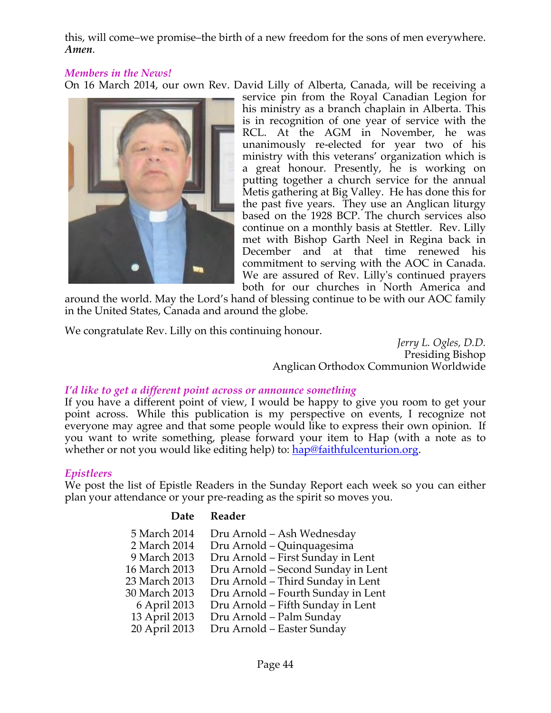this, will come–we promise–the birth of a new freedom for the sons of men everywhere. *Amen*.

# *Members in the News!*

On 16 March 2014, our own Rev. David Lilly of Alberta, Canada, will be receiving a



service pin from the Royal Canadian Legion for his ministry as a branch chaplain in Alberta. This is in recognition of one year of service with the RCL. At the AGM in November, he was unanimously re-elected for year two of his ministry with this veterans' organization which is a great honour. Presently, he is working on putting together a church service for the annual Metis gathering at Big Valley. He has done this for the past five years. They use an Anglican liturgy based on the 1928 BCP. The church services also continue on a monthly basis at Stettler. Rev. Lilly met with Bishop Garth Neel in Regina back in December and at that time renewed his commitment to serving with the AOC in Canada. We are assured of Rev. Lilly's continued prayers both for our churches in North America and

around the world. May the Lord's hand of blessing continue to be with our AOC family in the United States, Canada and around the globe.

We congratulate Rev. Lilly on this continuing honour.

*Jerry L. Ogles, D.D.* Presiding Bishop Anglican Orthodox Communion Worldwide

## *I'd like to get a different point across or announce something*

If you have a different point of view, I would be happy to give you room to get your point across. While this publication is my perspective on events, I recognize not everyone may agree and that some people would like to express their own opinion. If you want to write something, please forward your item to Hap (with a note as to whether or not you would like editing help) to: hap@faithfulcenturion.org.

## *Epistleers*

We post the list of Epistle Readers in the Sunday Report each week so you can either plan your attendance or your pre-reading as the spirit so moves you.

## **Date Reader**

| 5 March 2014  | Dru Arnold – Ash Wednesday         |
|---------------|------------------------------------|
| 2 March 2014  | Dru Arnold – Quinquagesima         |
| 9 March 2013  | Dru Arnold - First Sunday in Lent  |
| 16 March 2013 | Dru Arnold – Second Sunday in Lent |
| 23 March 2013 | Dru Arnold - Third Sunday in Lent  |
| 30 March 2013 | Dru Arnold – Fourth Sunday in Lent |
| 6 April 2013  | Dru Arnold – Fifth Sunday in Lent  |
| 13 April 2013 | Dru Arnold – Palm Sunday           |
| 20 April 2013 | Dru Arnold – Easter Sunday         |
|               |                                    |